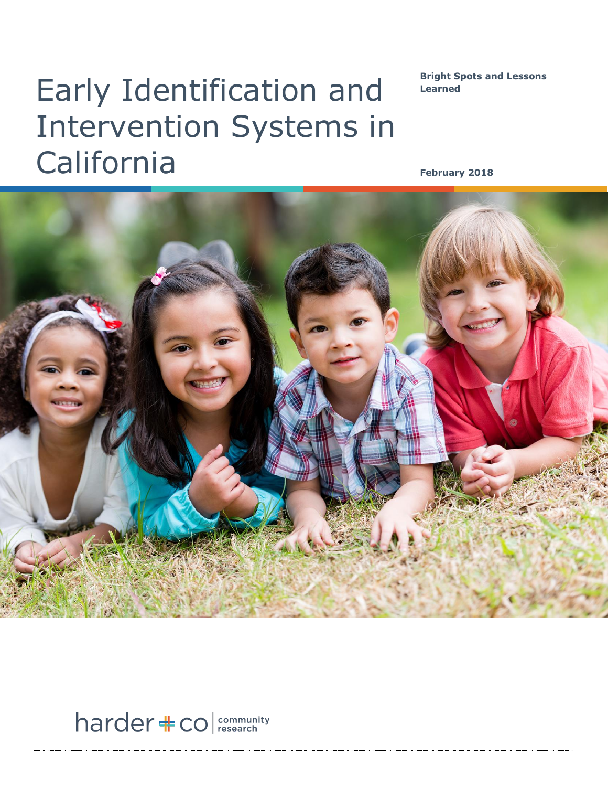# Early Identification and Intervention Systems in California

**Bright Spots and Lessons Learned**

**February 2018**



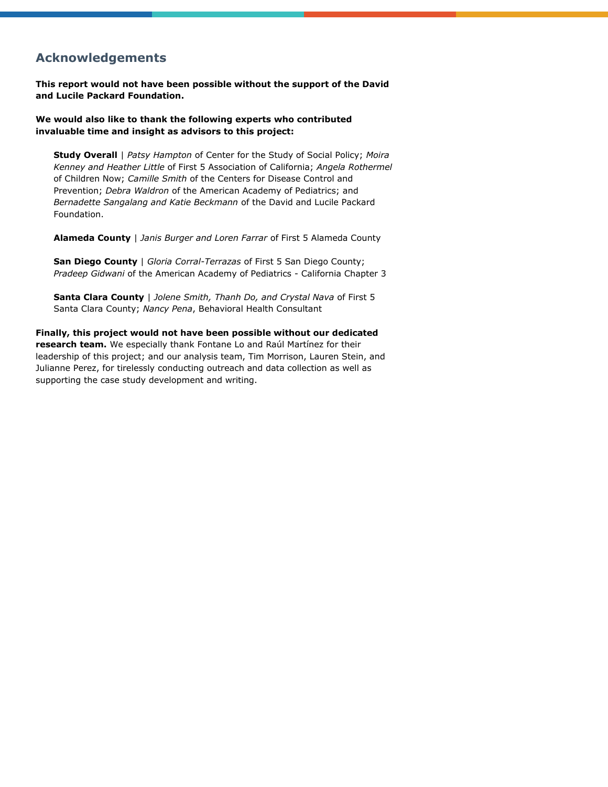### **Acknowledgements**

**This report would not have been possible without the support of the David and Lucile Packard Foundation.** 

#### **We would also like to thank the following experts who contributed invaluable time and insight as advisors to this project:**

**Study Overall** | *Patsy Hampton* of Center for the Study of Social Policy; *Moira Kenney and Heather Little* of First 5 Association of California; *Angela Rothermel* of Children Now; *Camille Smith* of the Centers for Disease Control and Prevention; *Debra Waldron* of the American Academy of Pediatrics; and *Bernadette Sangalang and Katie Beckmann* of the David and Lucile Packard Foundation.

**Alameda County** | *Janis Burger and Loren Farrar* of First 5 Alameda County

**San Diego County** | *Gloria Corral-Terrazas* of First 5 San Diego County; *Pradeep Gidwani* of the American Academy of Pediatrics - California Chapter 3

**Santa Clara County** | *Jolene Smith, Thanh Do, and Crystal Nava* of First 5 Santa Clara County; *Nancy Pena*, Behavioral Health Consultant

**Finally, this project would not have been possible without our dedicated research team.** We especially thank Fontane Lo and Raúl Martínez for their leadership of this project; and our analysis team, Tim Morrison, Lauren Stein, and Julianne Perez, for tirelessly conducting outreach and data collection as well as supporting the case study development and writing.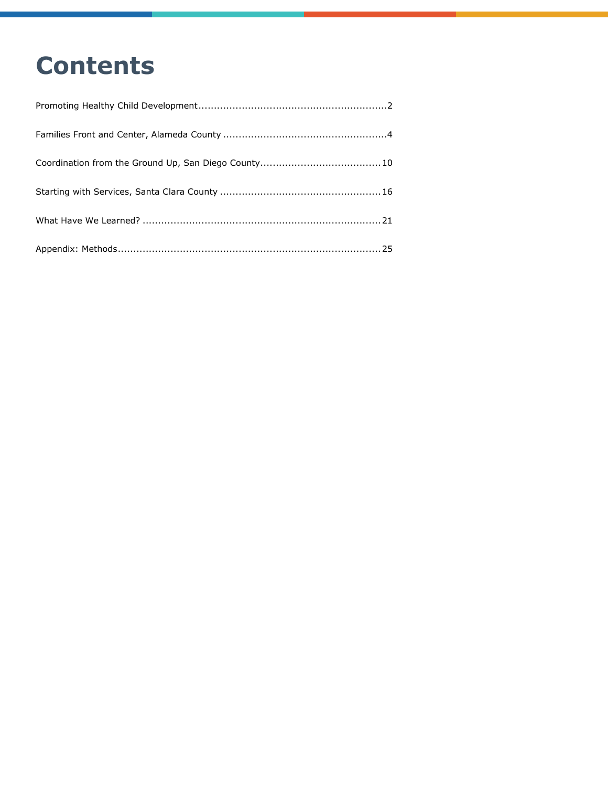## **Contents**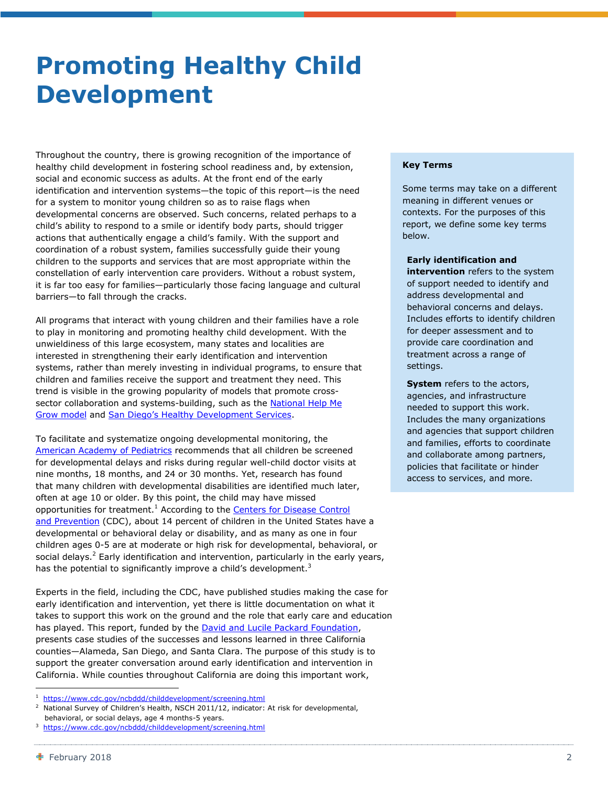### <span id="page-3-0"></span>**Promoting Healthy Child Development**

Throughout the country, there is growing recognition of the importance of healthy child development in fostering school readiness and, by extension, social and economic success as adults. At the front end of the early identification and intervention systems—the topic of this report—is the need for a system to monitor young children so as to raise flags when developmental concerns are observed. Such concerns, related perhaps to a child's ability to respond to a smile or identify body parts, should trigger actions that authentically engage a child's family. With the support and coordination of a robust system, families successfully guide their young children to the supports and services that are most appropriate within the constellation of early intervention care providers. Without a robust system, it is far too easy for families—particularly those facing language and cultural barriers—to fall through the cracks.

All programs that interact with young children and their families have a role to play in monitoring and promoting healthy child development. With the unwieldiness of this large ecosystem, many states and localities are interested in strengthening their early identification and intervention systems, rather than merely investing in individual programs, to ensure that children and families receive the support and treatment they need. This trend is visible in the growing popularity of models that promote crosssector collaboration and systems-building, such as the **National Help Me** Grow [model](https://helpmegrownational.org/) and San Diego's [Healthy Development Services.](http://first5sandiego.org/healthy-development-services/)

To facilitate and systematize ongoing developmental monitoring, the [American Academy of Pediatrics](https://www.aap.org/en-us/Pages/Default.aspx) recommends that all children be screened for developmental delays and risks during regular well-child doctor visits at nine months, 18 months, and 24 or 30 months. Yet, research has found that many children with developmental disabilities are identified much later, often at age 10 or older. By this point, the child may have missed opportunities for treatment.<sup>1</sup> According to the Centers for Disease Control [and Prevention](https://www.cdc.gov/) (CDC), about 14 percent of children in the United States have a developmental or behavioral delay or disability, and as many as one in four children ages 0-5 are at moderate or high risk for developmental, behavioral, or social delays.<sup>2</sup> Early identification and intervention, particularly in the early years, has the potential to significantly improve a child's development.<sup>3</sup>

Experts in the field, including the CDC, have published studies making the case for early identification and intervention, yet there is little documentation on what it takes to support this work on the ground and the role that early care and education has played. This report, funded by the **David and Lucile Packard Foundation**, presents case studies of the successes and lessons learned in three California counties—Alameda, San Diego, and Santa Clara. The purpose of this study is to support the greater conversation around early identification and intervention in California. While counties throughout California are doing this important work,

#### **Key Terms**

Some terms may take on a different meaning in different venues or contexts. For the purposes of this report, we define some key terms below.

#### **Early identification and**

**intervention** refers to the system of support needed to identify and address developmental and behavioral concerns and delays. Includes efforts to identify children for deeper assessment and to provide care coordination and treatment across a range of settings.

**System** refers to the actors, agencies, and infrastructure needed to support this work. Includes the many organizations and agencies that support children and families, efforts to coordinate and collaborate among partners, policies that facilitate or hinder access to services, and more.

<sup>1</sup> <https://www.cdc.gov/ncbddd/childdevelopment/screening.html>

<sup>2</sup> National Survey of Children's Health, NSCH 2011/12, indicator: At risk for developmental, behavioral, or social delays, age 4 months-5 years.

<sup>3</sup> <https://www.cdc.gov/ncbddd/childdevelopment/screening.html>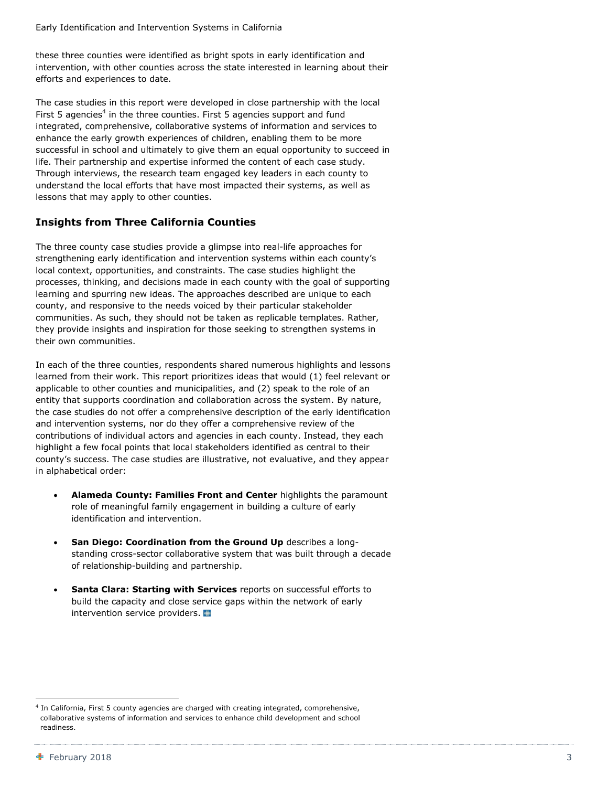these three counties were identified as bright spots in early identification and intervention, with other counties across the state interested in learning about their efforts and experiences to date.

The case studies in this report were developed in close partnership with the local First 5 agencies<sup>4</sup> in the three counties. First 5 agencies support and fund integrated, comprehensive, collaborative systems of information and services to enhance the early growth experiences of children, enabling them to be more successful in school and ultimately to give them an equal opportunity to succeed in life. Their partnership and expertise informed the content of each case study. Through interviews, the research team engaged key leaders in each county to understand the local efforts that have most impacted their systems, as well as lessons that may apply to other counties.

#### **Insights from Three California Counties**

The three county case studies provide a glimpse into real-life approaches for strengthening early identification and intervention systems within each county's local context, opportunities, and constraints. The case studies highlight the processes, thinking, and decisions made in each county with the goal of supporting learning and spurring new ideas. The approaches described are unique to each county, and responsive to the needs voiced by their particular stakeholder communities. As such, they should not be taken as replicable templates. Rather, they provide insights and inspiration for those seeking to strengthen systems in their own communities.

In each of the three counties, respondents shared numerous highlights and lessons learned from their work. This report prioritizes ideas that would (1) feel relevant or applicable to other counties and municipalities, and (2) speak to the role of an entity that supports coordination and collaboration across the system. By nature, the case studies do not offer a comprehensive description of the early identification and intervention systems, nor do they offer a comprehensive review of the contributions of individual actors and agencies in each county. Instead, they each highlight a few focal points that local stakeholders identified as central to their county's success. The case studies are illustrative, not evaluative, and they appear in alphabetical order:

- **Alameda County: Families Front and Center** highlights the paramount role of meaningful family engagement in building a culture of early identification and intervention.
- **San Diego: Coordination from the Ground Up** describes a longstanding cross-sector collaborative system that was built through a decade of relationship-building and partnership.
- **Santa Clara: Starting with Services** reports on successful efforts to build the capacity and close service gaps within the network of early intervention service providers.

<sup>4</sup> In California, First 5 county agencies are charged with creating integrated, comprehensive, collaborative systems of information and services to enhance child development and school readiness.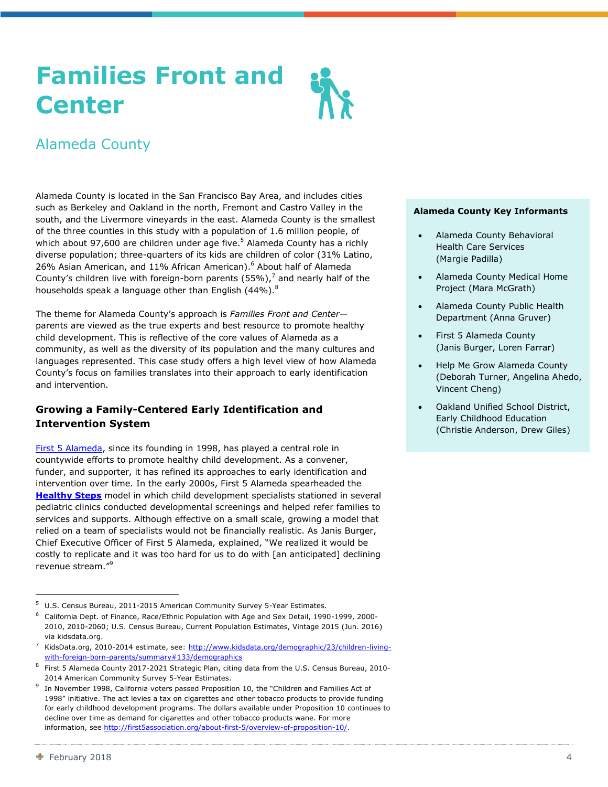## <span id="page-5-0"></span>**Families Front and Center**



Alameda County is located in the San Francisco Bay Area, and includes cities such as Berkeley and Oakland in the north, Fremont and Castro Valley in the south, and the Livermore vineyards in the east. Alameda County is the smallest of the three counties in this study with a population of 1.6 million people, of which about 97,600 are children under age five.<sup>5</sup> Alameda County has a richly diverse population; three-quarters of its kids are children of color (31% Latino, 26% Asian American, and 11% African American).<sup>6</sup> About half of Alameda County's children live with foreign-born parents (55%),<sup>7</sup> and nearly half of the households speak a language other than English (44%).<sup>8</sup>

The theme for Alameda County's approach is *Families Front and Center* parents are viewed as the true experts and best resource to promote healthy child development. This is reflective of the core values of Alameda as a community, as well as the diversity of its population and the many cultures and languages represented. This case study offers a high level view of how Alameda County's focus on families translates into their approach to early identification and intervention.

#### **Growing a Family-Centered Early Identification and Intervention System**

[First 5 Alameda,](http://www.first5alameda.org/) since its founding in 1998, has played a central role in countywide efforts to promote healthy child development. As a convener, funder, and supporter, it has refined its approaches to early identification and intervention over time. In the early 2000s, First 5 Alameda spearheaded the **[Healthy Steps](https://www.healthysteps.org/)** model in which child development specialists stationed in several pediatric clinics conducted developmental screenings and helped refer families to services and supports. Although effective on a small scale, growing a model that relied on a team of specialists would not be financially realistic. As Janis Burger, Chief Executive Officer of First 5 Alameda, explained, "We realized it would be costly to replicate and it was too hard for us to do with [an anticipated] declining revenue stream."<sup>9</sup>

#### **Alameda County Key Informants**

- Alameda County Behavioral Health Care Services (Margie Padilla)
- Alameda County Medical Home Project (Mara McGrath)
- Alameda County Public Health Department (Anna Gruver)
- First 5 Alameda County (Janis Burger, Loren Farrar)
- Help Me Grow Alameda County (Deborah Turner, Angelina Ahedo, Vincent Cheng)
- Oakland Unified School District, Early Childhood Education (Christie Anderson, Drew Giles)

-

<sup>5</sup> U.S. Census Bureau, 2011-2015 American Community Survey 5-Year Estimates.

<sup>6</sup> California Dept. of Finance, Race/Ethnic Population with Age and Sex Detail, 1990-1999, 2000- 2010, 2010-2060; U.S. Census Bureau, Current Population Estimates, Vintage 2015 (Jun. 2016) via kidsdata.org.

<sup>7</sup> KidsData.org, 2010-2014 estimate, see: [http://www.kidsdata.org/demographic/23/children-living](http://www.kidsdata.org/demographic/23/children-living-with-foreign-born-parents/summary#133/demographics)[with-foreign-born-parents/summary#133/demographics](http://www.kidsdata.org/demographic/23/children-living-with-foreign-born-parents/summary#133/demographics)

<sup>8</sup> First 5 Alameda County 2017-2021 Strategic Plan, citing data from the U.S. Census Bureau, 2010- 2014 American Community Survey 5-Year Estimates.

<sup>9</sup> In November 1998, California voters passed Proposition 10, the "Children and Families Act of 1998" initiative. The act levies a tax on cigarettes and other tobacco products to provide funding for early childhood development programs. The dollars available under Proposition 10 continues to decline over time as demand for cigarettes and other tobacco products wane. For more information, see [http://first5association.org/about-first-5/overview-of-proposition-10/.](http://first5association.org/about-first-5/overview-of-proposition-10/)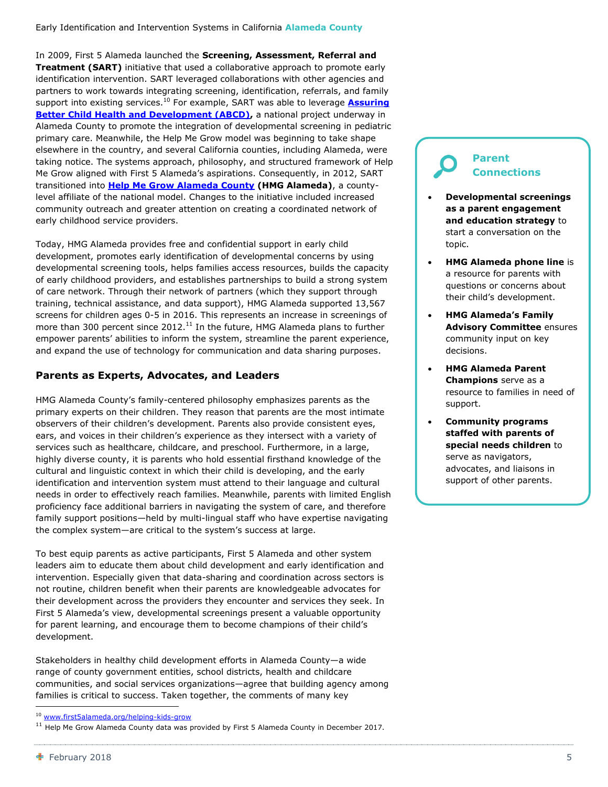In 2009, First 5 Alameda launched the **Screening, Assessment, Referral and Treatment (SART)** initiative that used a collaborative approach to promote early identification intervention. SART leveraged collaborations with other agencies and partners to work towards integrating screening, identification, referrals, and family support into existing services. <sup>10</sup> For example, SART was able to leverage **[Assuring](https://nashp.org/abcd-history/)  [Better Child Health and Development \(ABCD\),](https://nashp.org/abcd-history/)** a national project underway in Alameda County to promote the integration of developmental screening in pediatric primary care. Meanwhile, the Help Me Grow model was beginning to take shape elsewhere in the country, and several California counties, including Alameda, were taking notice. The systems approach, philosophy, and structured framework of Help Me Grow aligned with First 5 Alameda's aspirations. Consequently, in 2012, SART transitioned into **[Help Me Grow Alameda County](http://www.first5alameda.org/help-me-grow) (HMG Alameda)**, a countylevel affiliate of the national model. Changes to the initiative included increased community outreach and greater attention on creating a coordinated network of early childhood service providers.

Today, HMG Alameda provides free and confidential support in early child development, promotes early identification of developmental concerns by using developmental screening tools, helps families access resources, builds the capacity of early childhood providers, and establishes partnerships to build a strong system of care network. Through their network of partners (which they support through training, technical assistance, and data support), HMG Alameda supported 13,567 screens for children ages 0-5 in 2016. This represents an increase in screenings of more than 300 percent since 2012.<sup>11</sup> In the future, HMG Alameda plans to further empower parents' abilities to inform the system, streamline the parent experience, and expand the use of technology for communication and data sharing purposes.

#### **Parents as Experts, Advocates, and Leaders**

HMG Alameda County's family-centered philosophy emphasizes parents as the primary experts on their children. They reason that parents are the most intimate observers of their children's development. Parents also provide consistent eyes, ears, and voices in their children's experience as they intersect with a variety of services such as healthcare, childcare, and preschool. Furthermore, in a large, highly diverse county, it is parents who hold essential firsthand knowledge of the cultural and linguistic context in which their child is developing, and the early identification and intervention system must attend to their language and cultural needs in order to effectively reach families. Meanwhile, parents with limited English proficiency face additional barriers in navigating the system of care, and therefore family support positions—held by multi-lingual staff who have expertise navigating the complex system—are critical to the system's success at large.

To best equip parents as active participants, First 5 Alameda and other system leaders aim to educate them about child development and early identification and intervention. Especially given that data-sharing and coordination across sectors is not routine, children benefit when their parents are knowledgeable advocates for their development across the providers they encounter and services they seek. In First 5 Alameda's view, developmental screenings present a valuable opportunity for parent learning, and encourage them to become champions of their child's development.

Stakeholders in healthy child development efforts in Alameda County—a wide range of county government entities, school districts, health and childcare communities, and social services organizations—agree that building agency among families is critical to success. Taken together, the comments of many key

#### **Parent Connections**

- **Developmental screenings as a parent engagement and education strategy** to start a conversation on the topic.
- **HMG Alameda phone line** is a resource for parents with questions or concerns about their child's development.
- **HMG Alameda's Family Advisory Committee** ensures community input on key decisions.
- **HMG Alameda Parent Champions** serve as a resource to families in need of support.
- **Community programs staffed with parents of special needs children** to serve as navigators, advocates, and liaisons in support of other parents.

<sup>10</sup> [www.first5alameda.org/helping-kids-grow](http://www.first5alameda.org/helping-kids-grow)

 $11$  Help Me Grow Alameda County data was provided by First 5 Alameda County in December 2017.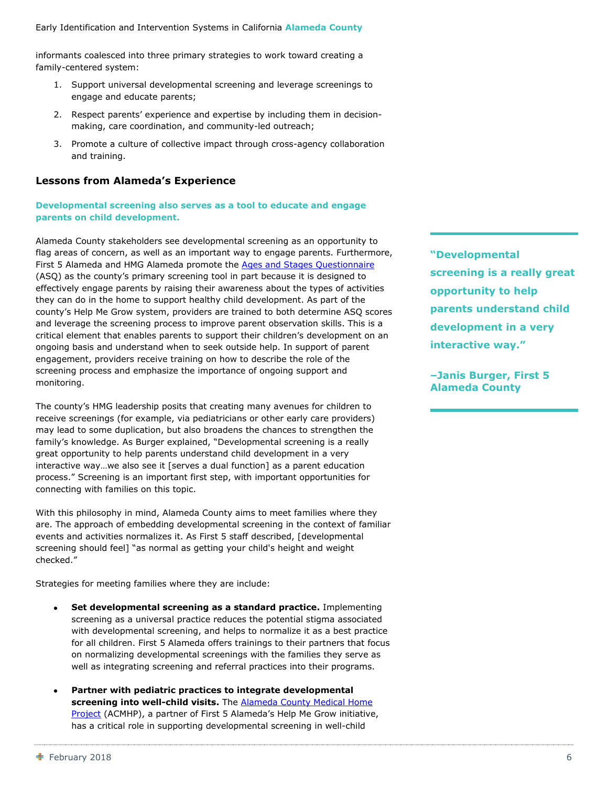informants coalesced into three primary strategies to work toward creating a family-centered system:

- 1. Support universal developmental screening and leverage screenings to engage and educate parents;
- 2. Respect parents' experience and expertise by including them in decisionmaking, care coordination, and community-led outreach;
- 3. Promote a culture of collective impact through cross-agency collaboration and training.

#### **Lessons from Alameda's Experience**

**Developmental screening also serves as a tool to educate and engage parents on child development.**

Alameda County stakeholders see developmental screening as an opportunity to flag areas of concern, as well as an important way to engage parents. Furthermore, First 5 Alameda and HMG Alameda promote the [Ages and Stages Questionnaire](http://agesandstages.com/) (ASQ) as the county's primary screening tool in part because it is designed to effectively engage parents by raising their awareness about the types of activities they can do in the home to support healthy child development. As part of the county's Help Me Grow system, providers are trained to both determine ASQ scores and leverage the screening process to improve parent observation skills. This is a critical element that enables parents to support their children's development on an ongoing basis and understand when to seek outside help. In support of parent engagement, providers receive training on how to describe the role of the screening process and emphasize the importance of ongoing support and monitoring.

The county's HMG leadership posits that creating many avenues for children to receive screenings (for example, via pediatricians or other early care providers) may lead to some duplication, but also broadens the chances to strengthen the family's knowledge. As Burger explained, "Developmental screening is a really great opportunity to help parents understand child development in a very interactive way…we also see it [serves a dual function] as a parent education process." Screening is an important first step, with important opportunities for connecting with families on this topic.

With this philosophy in mind, Alameda County aims to meet families where they are. The approach of embedding developmental screening in the context of familiar events and activities normalizes it. As First 5 staff described, [developmental screening should feel] "as normal as getting your child's height and weight checked."

Strategies for meeting families where they are include:

- **Set developmental screening as a standard practice.** Implementing screening as a universal practice reduces the potential stigma associated with developmental screening, and helps to normalize it as a best practice for all children. First 5 Alameda offers trainings to their partners that focus on normalizing developmental screenings with the families they serve as well as integrating screening and referral practices into their programs.
- **Partner with pediatric practices to integrate developmental screening into well-child visits.** The [Alameda County Medical Home](http://criss-ca.org/ACMHP_Binder_0116.pdf)  [Project](http://criss-ca.org/ACMHP_Binder_0116.pdf) (ACMHP), a partner of First 5 Alameda's Help Me Grow initiative, has a critical role in supporting developmental screening in well-child

**"Developmental screening is a really great opportunity to help parents understand child development in a very interactive way."**

**–Janis Burger, First 5 Alameda County**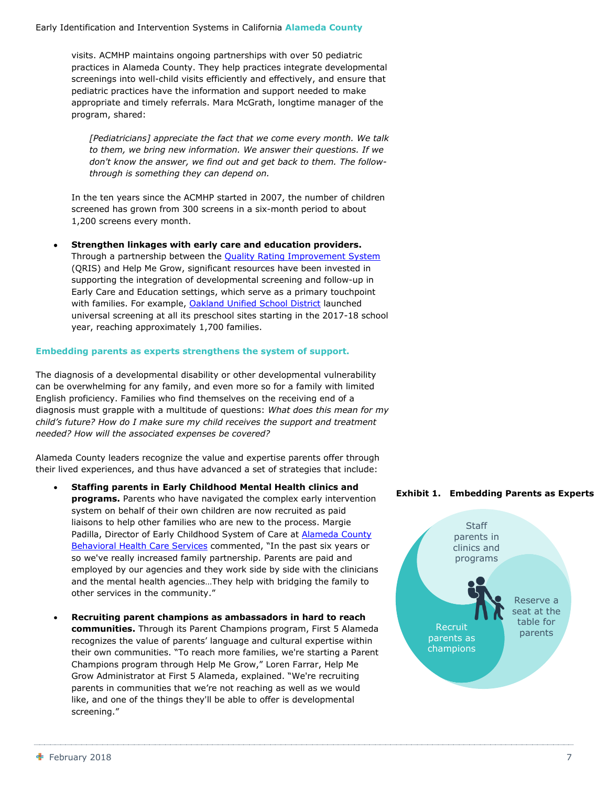visits. ACMHP maintains ongoing partnerships with over 50 pediatric practices in Alameda County. They help practices integrate developmental screenings into well-child visits efficiently and effectively, and ensure that pediatric practices have the information and support needed to make appropriate and timely referrals. Mara McGrath, longtime manager of the program, shared:

*[Pediatricians] appreciate the fact that we come every month. We talk to them, we bring new information. We answer their questions. If we don't know the answer, we find out and get back to them. The followthrough is something they can depend on.* 

In the ten years since the ACMHP started in 2007, the number of children screened has grown from 300 screens in a six-month period to about 1,200 screens every month.

 **Strengthen linkages with early care and education providers.** Through a partnership between the **Quality Rating Improvement System** (QRIS) and Help Me Grow, significant resources have been invested in supporting the integration of developmental screening and follow-up in Early Care and Education settings, which serve as a primary touchpoint with families. For example, [Oakland Unified School District](https://www.ousd.org/) launched universal screening at all its preschool sites starting in the 2017-18 school year, reaching approximately 1,700 families.

#### **Embedding parents as experts strengthens the system of support.**

The diagnosis of a developmental disability or other developmental vulnerability can be overwhelming for any family, and even more so for a family with limited English proficiency. Families who find themselves on the receiving end of a diagnosis must grapple with a multitude of questions: *What does this mean for my child's future? How do I make sure my child receives the support and treatment needed? How will the associated expenses be covered?*

Alameda County leaders recognize the value and expertise parents offer through their lived experiences, and thus have advanced a set of strategies that include:

- **Staffing parents in Early Childhood Mental Health clinics and programs.** Parents who have navigated the complex early intervention system on behalf of their own children are now recruited as paid liaisons to help other families who are new to the process. Margie Padilla, Director of Early Childhood System of Care at **Alameda County** [Behavioral Health Care Services](http://www.acbhcs.org/) commented, "In the past six years or so we've really increased family partnership. Parents are paid and employed by our agencies and they work side by side with the clinicians and the mental health agencies…They help with bridging the family to other services in the community."
- **Recruiting parent champions as ambassadors in hard to reach communities.** Through its Parent Champions program, First 5 Alameda recognizes the value of parents' language and cultural expertise within their own communities. "To reach more families, we're starting a Parent Champions program through Help Me Grow," Loren Farrar, Help Me Grow Administrator at First 5 Alameda, explained. "We're recruiting parents in communities that we're not reaching as well as we would like, and one of the things they'll be able to offer is developmental screening."

#### **Exhibit 1. Embedding Parents as Experts**

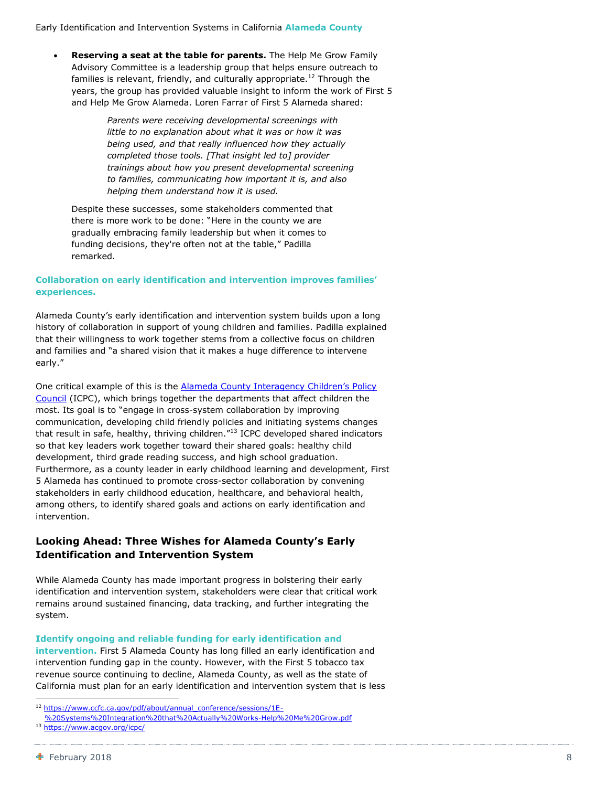**Reserving a seat at the table for parents.** The Help Me Grow Family Advisory Committee is a leadership group that helps ensure outreach to families is relevant, friendly, and culturally appropriate.<sup>12</sup> Through the years, the group has provided valuable insight to inform the work of First 5 and Help Me Grow Alameda. Loren Farrar of First 5 Alameda shared:

> *Parents were receiving developmental screenings with little to no explanation about what it was or how it was being used, and that really influenced how they actually completed those tools. [That insight led to] provider trainings about how you present developmental screening to families, communicating how important it is, and also helping them understand how it is used.*

Despite these successes, some stakeholders commented that there is more work to be done: "Here in the county we are gradually embracing family leadership but when it comes to funding decisions, they're often not at the table," Padilla remarked.

#### **Collaboration on early identification and intervention improves families' experiences.**

Alameda County's early identification and intervention system builds upon a long history of collaboration in support of young children and families. Padilla explained that their willingness to work together stems from a collective focus on children and families and "a shared vision that it makes a huge difference to intervene early."

One critical example of this is the **Alameda County Interagency Children's Policy** [Council](https://www.acgov.org/icpc/) (ICPC), which brings together the departments that affect children the most. Its goal is to "engage in cross-system collaboration by improving communication, developing child friendly policies and initiating systems changes that result in safe, healthy, thriving children."<sup>13</sup> ICPC developed shared indicators so that key leaders work together toward their shared goals: healthy child development, third grade reading success, and high school graduation. Furthermore, as a county leader in early childhood learning and development, First 5 Alameda has continued to promote cross-sector collaboration by convening stakeholders in early childhood education, healthcare, and behavioral health, among others, to identify shared goals and actions on early identification and intervention.

#### **Looking Ahead: Three Wishes for Alameda County's Early Identification and Intervention System**

While Alameda County has made important progress in bolstering their early identification and intervention system, stakeholders were clear that critical work remains around sustained financing, data tracking, and further integrating the system.

**Identify ongoing and reliable funding for early identification and** 

**intervention.** First 5 Alameda County has long filled an early identification and intervention funding gap in the county. However, with the First 5 tobacco tax revenue source continuing to decline, Alameda County, as well as the state of California must plan for an early identification and intervention system that is less

<sup>&</sup>lt;sup>12</sup> [https://www.ccfc.ca.gov/pdf/about/annual\\_conference/sessions/1E-](https://www.ccfc.ca.gov/pdf/about/annual_conference/sessions/1E-%20Systems%20Integration%20that%20Actually%20Works-Help%20Me%20Grow.pdf)

[<sup>%20</sup>Systems%20Integration%20that%20Actually%20Works-Help%20Me%20Grow.pdf](https://www.ccfc.ca.gov/pdf/about/annual_conference/sessions/1E-%20Systems%20Integration%20that%20Actually%20Works-Help%20Me%20Grow.pdf) 13 <https://www.acgov.org/icpc/>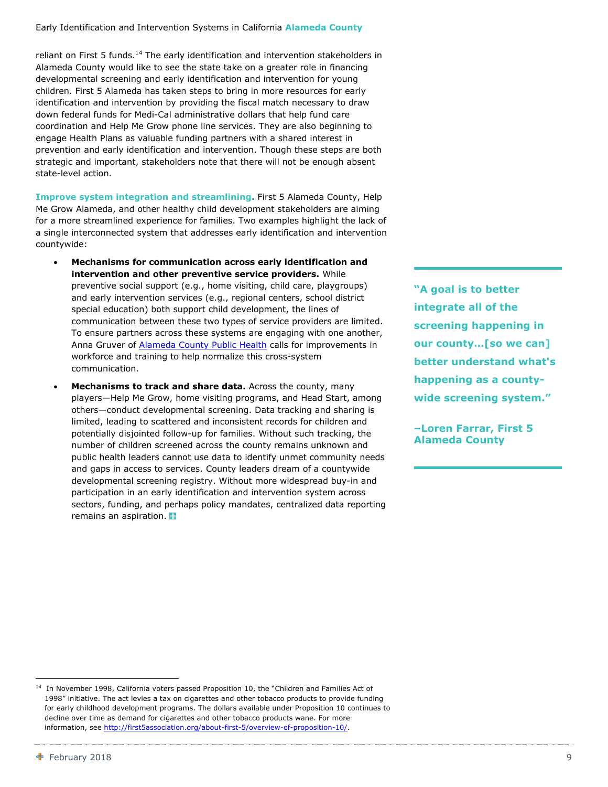reliant on First 5 funds.<sup>14</sup> The early identification and intervention stakeholders in Alameda County would like to see the state take on a greater role in financing developmental screening and early identification and intervention for young children. First 5 Alameda has taken steps to bring in more resources for early identification and intervention by providing the fiscal match necessary to draw down federal funds for Medi-Cal administrative dollars that help fund care coordination and Help Me Grow phone line services. They are also beginning to engage Health Plans as valuable funding partners with a shared interest in prevention and early identification and intervention. Though these steps are both strategic and important, stakeholders note that there will not be enough absent state-level action.

**Improve system integration and streamlining.** First 5 Alameda County, Help Me Grow Alameda, and other healthy child development stakeholders are aiming for a more streamlined experience for families. Two examples highlight the lack of a single interconnected system that addresses early identification and intervention countywide:

- **Mechanisms for communication across early identification and intervention and other preventive service providers.** While preventive social support (e.g., home visiting, child care, playgroups) and early intervention services (e.g., regional centers, school district special education) both support child development, the lines of communication between these two types of service providers are limited. To ensure partners across these systems are engaging with one another, Anna Gruver of **Alameda County Public Health** calls for improvements in workforce and training to help normalize this cross-system communication.
- **Mechanisms to track and share data.** Across the county, many players—Help Me Grow, home visiting programs, and Head Start, among others—conduct developmental screening. Data tracking and sharing is limited, leading to scattered and inconsistent records for children and potentially disjointed follow-up for families. Without such tracking, the number of children screened across the county remains unknown and public health leaders cannot use data to identify unmet community needs and gaps in access to services. County leaders dream of a countywide developmental screening registry. Without more widespread buy-in and participation in an early identification and intervention system across sectors, funding, and perhaps policy mandates, centralized data reporting remains an aspiration.

**"A goal is to better integrate all of the screening happening in our county…[so we can] better understand what's happening as a countywide screening system."**

**–Loren Farrar, First 5 Alameda County**

-

<sup>&</sup>lt;sup>14</sup> In November 1998, California voters passed Proposition 10, the "Children and Families Act of 1998" initiative. The act levies a tax on cigarettes and other tobacco products to provide funding for early childhood development programs. The dollars available under Proposition 10 continues to decline over time as demand for cigarettes and other tobacco products wane. For more information, see [http://first5association.org/about-first-5/overview-of-proposition-10/.](http://first5association.org/about-first-5/overview-of-proposition-10/)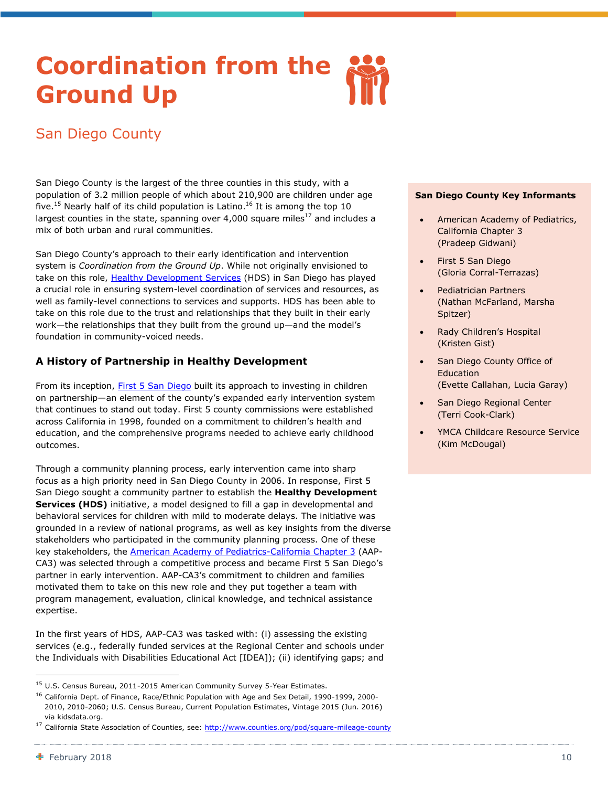## <span id="page-11-0"></span>**Coordination from the Ground Up**

### San Diego County

San Diego County is the largest of the three counties in this study, with a population of 3.2 million people of which about 210,900 are children under age five.<sup>15</sup> Nearly half of its child population is Latino.<sup>16</sup> It is among the top 10 largest counties in the state, spanning over 4,000 square miles<sup>17</sup> and includes a mix of both urban and rural communities.

San Diego County's approach to their early identification and intervention system is *Coordination from the Ground Up*. While not originally envisioned to take on this role, [Healthy Development Services](http://first5sandiego.org/healthy-development-services/) (HDS) in San Diego has played a crucial role in ensuring system-level coordination of services and resources, as well as family-level connections to services and supports. HDS has been able to take on this role due to the trust and relationships that they built in their early work—the relationships that they built from the ground up—and the model's foundation in community-voiced needs.

#### **A History of Partnership in Healthy Development**

From its inception, [First 5 San Diego](http://first5sandiego.org/) built its approach to investing in children on partnership—an element of the county's expanded early intervention system that continues to stand out today. First 5 county commissions were established across California in 1998, founded on a commitment to children's health and education, and the comprehensive programs needed to achieve early childhood outcomes.

Through a community planning process, early intervention came into sharp focus as a high priority need in San Diego County in 2006. In response, First 5 San Diego sought a community partner to establish the **Healthy Development Services (HDS)** initiative, a model designed to fill a gap in developmental and behavioral services for children with mild to moderate delays. The initiative was grounded in a review of national programs, as well as key insights from the diverse stakeholders who participated in the community planning process. One of these key stakeholders, the **[American Academy of Pediatrics-California Chapter 3](http://www.aapca3.org/)** (AAP-CA3) was selected through a competitive process and became First 5 San Diego's partner in early intervention. AAP-CA3's commitment to children and families motivated them to take on this new role and they put together a team with program management, evaluation, clinical knowledge, and technical assistance expertise.

In the first years of HDS, AAP-CA3 was tasked with: (i) assessing the existing services (e.g., federally funded services at the Regional Center and schools under the Individuals with Disabilities Educational Act [IDEA]); (ii) identifying gaps; and

#### **San Diego County Key Informants**

- American Academy of Pediatrics, California Chapter 3 (Pradeep Gidwani)
- First 5 San Diego (Gloria Corral-Terrazas)
- Pediatrician Partners (Nathan McFarland, Marsha Spitzer)
- Rady Children's Hospital (Kristen Gist)
- San Diego County Office of Education (Evette Callahan, Lucia Garay)
- San Diego Regional Center (Terri Cook-Clark)
- YMCA Childcare Resource Service (Kim McDougal)

1

<sup>&</sup>lt;sup>15</sup> U.S. Census Bureau, 2011-2015 American Community Survey 5-Year Estimates.

<sup>&</sup>lt;sup>16</sup> California Dept. of Finance, Race/Ethnic Population with Age and Sex Detail, 1990-1999, 2000-2010, 2010-2060; U.S. Census Bureau, Current Population Estimates, Vintage 2015 (Jun. 2016) via kidsdata.org.

<sup>&</sup>lt;sup>17</sup> California State Association of Counties, see:<http://www.counties.org/pod/square-mileage-county>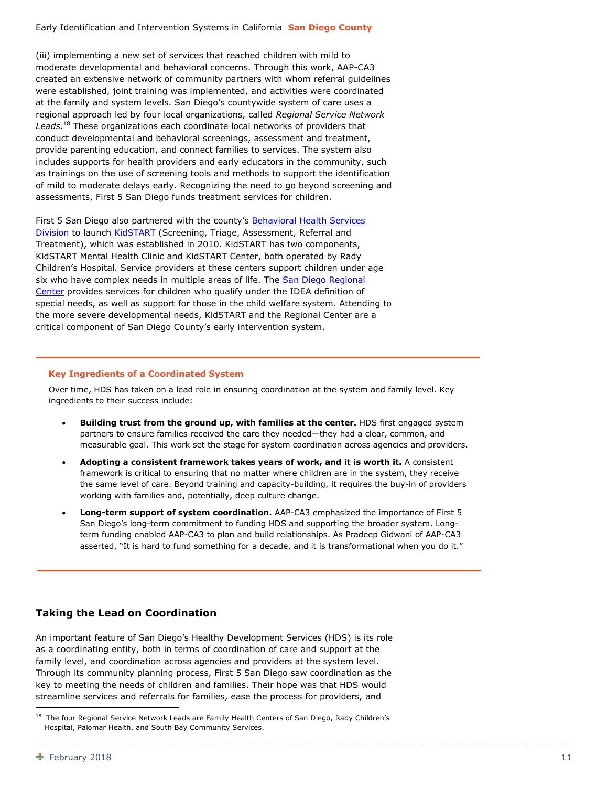(iii) implementing a new set of services that reached children with mild to moderate developmental and behavioral concerns. Through this work, AAP-CA3 created an extensive network of community partners with whom referral guidelines were established, joint training was implemented, and activities were coordinated at the family and system levels. San Diego's countywide system of care uses a regional approach led by four local organizations, called *Regional Service Network Leads*. <sup>18</sup> These organizations each coordinate local networks of providers that conduct developmental and behavioral screenings, assessment and treatment, provide parenting education, and connect families to services. The system also includes supports for health providers and early educators in the community, such as trainings on the use of screening tools and methods to support the identification of mild to moderate delays early. Recognizing the need to go beyond screening and assessments, First 5 San Diego funds treatment services for children.

First 5 San Diego also partnered with the county's Behavioral Health Services [Division](http://www.sandiegocounty.gov/hhsa/programs/bhs/) to launch [KidSTART](https://www.rchsd.org/programs-services/kidstart/) (Screening, Triage, Assessment, Referral and Treatment), which was established in 2010. KidSTART has two components, KidSTART Mental Health Clinic and KidSTART Center, both operated by Rady Children's Hospital. Service providers at these centers support children under age six who have complex needs in multiple areas of life. The San Diego Regional [Center](http://sdrc.org/) provides services for children who qualify under the IDEA definition of special needs, as well as support for those in the child welfare system. Attending to the more severe developmental needs, KidSTART and the Regional Center are a critical component of San Diego County's early intervention system.

#### **Key Ingredients of a Coordinated System**

Over time, HDS has taken on a lead role in ensuring coordination at the system and family level. Key ingredients to their success include:

- **Building trust from the ground up, with families at the center.** HDS first engaged system partners to ensure families received the care they needed—they had a clear, common, and measurable goal. This work set the stage for system coordination across agencies and providers.
- **Adopting a consistent framework takes years of work, and it is worth it.** A consistent framework is critical to ensuring that no matter where children are in the system, they receive the same level of care. Beyond training and capacity-building, it requires the buy-in of providers working with families and, potentially, deep culture change.
- **Long-term support of system coordination.** AAP-CA3 emphasized the importance of First 5 San Diego's long-term commitment to funding HDS and supporting the broader system. Longterm funding enabled AAP-CA3 to plan and build relationships. As Pradeep Gidwani of AAP-CA3 asserted, "It is hard to fund something for a decade, and it is transformational when you do it."

#### **Taking the Lead on Coordination**

An important feature of San Diego's Healthy Development Services (HDS) is its role as a coordinating entity, both in terms of coordination of care and support at the family level, and coordination across agencies and providers at the system level. Through its community planning process, First 5 San Diego saw coordination as the key to meeting the needs of children and families. Their hope was that HDS would streamline services and referrals for families, ease the process for providers, and

1

<sup>&</sup>lt;sup>18</sup> The four Regional Service Network Leads are Family Health Centers of San Diego, Rady Children's Hospital, Palomar Health, and South Bay Community Services.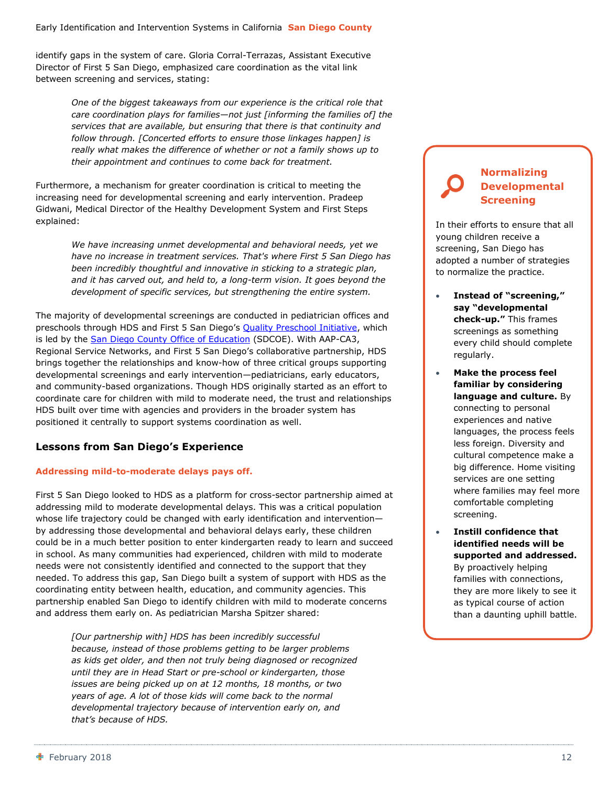identify gaps in the system of care. Gloria Corral-Terrazas, Assistant Executive Director of First 5 San Diego, emphasized care coordination as the vital link between screening and services, stating:

> *One of the biggest takeaways from our experience is the critical role that care coordination plays for families—not just [informing the families of] the services that are available, but ensuring that there is that continuity and follow through. [Concerted efforts to ensure those linkages happen] is really what makes the difference of whether or not a family shows up to their appointment and continues to come back for treatment.*

Furthermore, a mechanism for greater coordination is critical to meeting the increasing need for developmental screening and early intervention. Pradeep Gidwani, Medical Director of the Healthy Development System and First Steps explained:

> *We have increasing unmet developmental and behavioral needs, yet we have no increase in treatment services. That's where First 5 San Diego has been incredibly thoughtful and innovative in sticking to a strategic plan, and it has carved out, and held to, a long-term vision. It goes beyond the development of specific services, but strengthening the entire system.*

The majority of developmental screenings are conducted in pediatrician offices and preschools through HDS and First 5 San Diego's [Quality Preschool Initiative,](http://www.sdcoe.net/student-services/early-education/Pages/san-diego-quality-preschool-initiative.aspx) which is led by the [San Diego County Office of Education](http://www.sdcoe.net/Pages/Home.aspx) (SDCOE). With AAP-CA3, Regional Service Networks, and First 5 San Diego's collaborative partnership, HDS brings together the relationships and know-how of three critical groups supporting developmental screenings and early intervention—pediatricians, early educators, and community-based organizations. Though HDS originally started as an effort to coordinate care for children with mild to moderate need, the trust and relationships HDS built over time with agencies and providers in the broader system has positioned it centrally to support systems coordination as well.

#### **Lessons from San Diego's Experience**

#### **Addressing mild-to-moderate delays pays off.**

First 5 San Diego looked to HDS as a platform for cross-sector partnership aimed at addressing mild to moderate developmental delays. This was a critical population whose life trajectory could be changed with early identification and intervention by addressing those developmental and behavioral delays early, these children could be in a much better position to enter kindergarten ready to learn and succeed in school. As many communities had experienced, children with mild to moderate needs were not consistently identified and connected to the support that they needed. To address this gap, San Diego built a system of support with HDS as the coordinating entity between health, education, and community agencies. This partnership enabled San Diego to identify children with mild to moderate concerns and address them early on. As pediatrician Marsha Spitzer shared:

*[Our partnership with] HDS has been incredibly successful because, instead of those problems getting to be larger problems as kids get older, and then not truly being diagnosed or recognized until they are in Head Start or pre-school or kindergarten, those issues are being picked up on at 12 months, 18 months, or two years of age. A lot of those kids will come back to the normal developmental trajectory because of intervention early on, and that's because of HDS.*

#### **Normalizing Developmental Screening**

In their efforts to ensure that all young children receive a screening, San Diego has adopted a number of strategies to normalize the practice.

- **Instead of "screening," say "developmental check-up."** This frames screenings as something every child should complete regularly.
- **Make the process feel familiar by considering language and culture.** By connecting to personal experiences and native languages, the process feels less foreign. Diversity and cultural competence make a big difference. Home visiting services are one setting where families may feel more comfortable completing screening.
- **Instill confidence that identified needs will be supported and addressed.** By proactively helping families with connections, they are more likely to see it as typical course of action than a daunting uphill battle.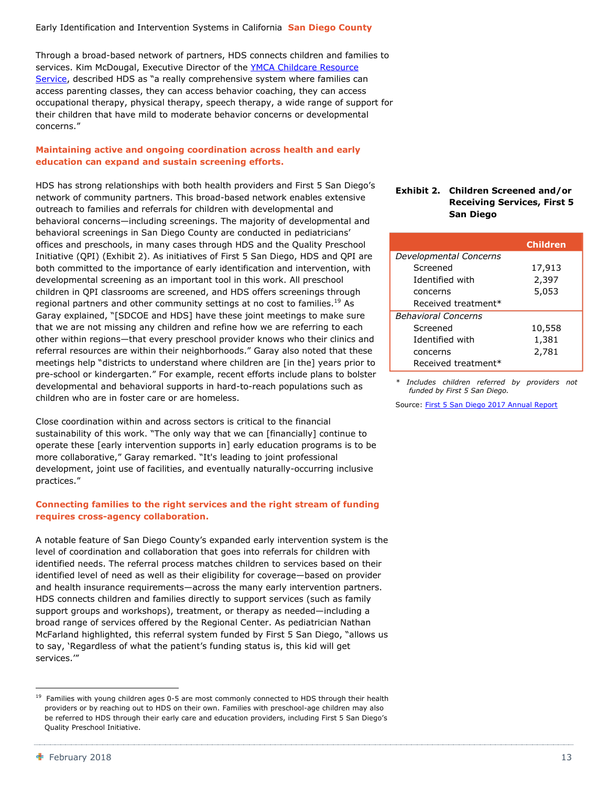Through a broad-based network of partners, HDS connects children and families to services. Kim McDougal, Executive Director of the [YMCA Childcare Resource](https://www.ymca.org/community-support/childcare-resource-service)  [Service,](https://www.ymca.org/community-support/childcare-resource-service) described HDS as "a really comprehensive system where families can access parenting classes, they can access behavior coaching, they can access occupational therapy, physical therapy, speech therapy, a wide range of support for their children that have mild to moderate behavior concerns or developmental concerns."

#### **Maintaining active and ongoing coordination across health and early education can expand and sustain screening efforts.**

HDS has strong relationships with both health providers and First 5 San Diego's network of community partners. This broad-based network enables extensive outreach to families and referrals for children with developmental and behavioral concerns—including screenings. The majority of developmental and behavioral screenings in San Diego County are conducted in pediatricians' offices and preschools, in many cases through HDS and the Quality Preschool Initiative (QPI) (Exhibit 2). As initiatives of First 5 San Diego, HDS and QPI are both committed to the importance of early identification and intervention, with developmental screening as an important tool in this work. All preschool children in QPI classrooms are screened, and HDS offers screenings through regional partners and other community settings at no cost to families.<sup>19</sup> As Garay explained, "[SDCOE and HDS] have these joint meetings to make sure that we are not missing any children and refine how we are referring to each other within regions—that every preschool provider knows who their clinics and referral resources are within their neighborhoods." Garay also noted that these meetings help "districts to understand where children are [in the] years prior to pre-school or kindergarten." For example, recent efforts include plans to bolster developmental and behavioral supports in hard-to-reach populations such as children who are in foster care or are homeless.

Close coordination within and across sectors is critical to the financial sustainability of this work. "The only way that we can [financially] continue to operate these [early intervention supports in] early education programs is to be more collaborative," Garay remarked. "It's leading to joint professional development, joint use of facilities, and eventually naturally-occurring inclusive practices."

#### **Connecting families to the right services and the right stream of funding requires cross-agency collaboration.**

A notable feature of San Diego County's expanded early intervention system is the level of coordination and collaboration that goes into referrals for children with identified needs. The referral process matches children to services based on their identified level of need as well as their eligibility for coverage—based on provider and health insurance requirements—across the many early intervention partners. HDS connects children and families directly to support services (such as family support groups and workshops), treatment, or therapy as needed—including a broad range of services offered by the Regional Center. As pediatrician Nathan McFarland highlighted, this referral system funded by First 5 San Diego, "allows us to say, 'Regardless of what the patient's funding status is, this kid will get services.'"

#### **Exhibit 2. Children Screened and/or Receiving Services, First 5 San Diego**

|                            | <b>Children</b> |
|----------------------------|-----------------|
| Developmental Concerns     |                 |
| Screened                   | 17,913          |
| Identified with            | 2,397           |
| concerns                   | 5,053           |
| Received treatment*        |                 |
| <b>Behavioral Concerns</b> |                 |
| Screened                   | 10,558          |
| Identified with            | 1,381           |
| concerns                   | 2,781           |
| Received treatment*        |                 |

*\* Includes children referred by providers not funded by First 5 San Diego.*

Source: [First 5 San Diego 2017 Annual Report](http://first5sandiego.org/wp-content/uploads/2017/12/F5-0067-2017-Annual-Report_12p2.pdf)

<sup>&</sup>lt;sup>19</sup> Families with young children ages 0-5 are most commonly connected to HDS through their health providers or by reaching out to HDS on their own. Families with preschool-age children may also be referred to HDS through their early care and education providers, including First 5 San Diego's Quality Preschool Initiative.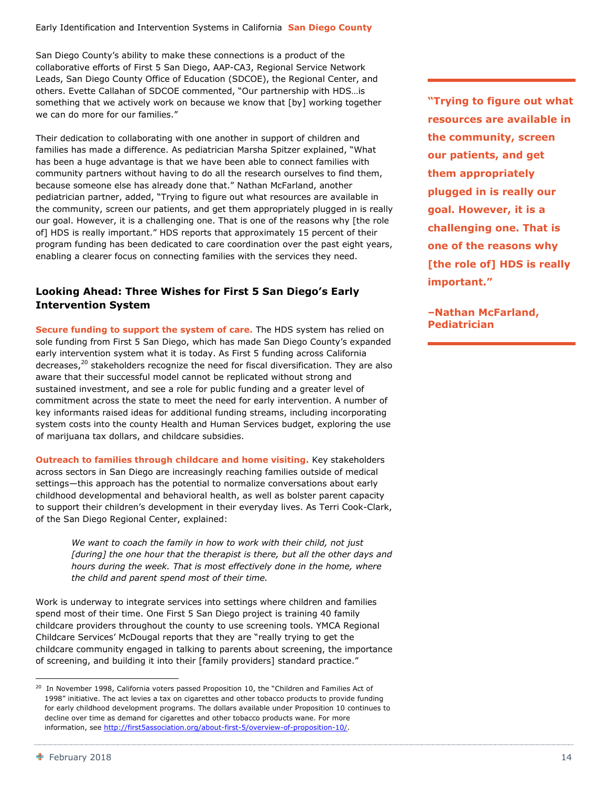San Diego County's ability to make these connections is a product of the collaborative efforts of First 5 San Diego, AAP-CA3, Regional Service Network Leads, San Diego County Office of Education (SDCOE), the Regional Center, and others. Evette Callahan of SDCOE commented, "Our partnership with HDS…is something that we actively work on because we know that [by] working together we can do more for our families."

Their dedication to collaborating with one another in support of children and families has made a difference. As pediatrician Marsha Spitzer explained, "What has been a huge advantage is that we have been able to connect families with community partners without having to do all the research ourselves to find them, because someone else has already done that." Nathan McFarland, another pediatrician partner, added, "Trying to figure out what resources are available in the community, screen our patients, and get them appropriately plugged in is really our goal. However, it is a challenging one. That is one of the reasons why [the role of] HDS is really important." HDS reports that approximately 15 percent of their program funding has been dedicated to care coordination over the past eight years, enabling a clearer focus on connecting families with the services they need.

#### **Looking Ahead: Three Wishes for First 5 San Diego's Early Intervention System**

**Secure funding to support the system of care.** The HDS system has relied on sole funding from First 5 San Diego, which has made San Diego County's expanded early intervention system what it is today. As First 5 funding across California decreases,<sup>20</sup> stakeholders recognize the need for fiscal diversification. They are also aware that their successful model cannot be replicated without strong and sustained investment, and see a role for public funding and a greater level of commitment across the state to meet the need for early intervention. A number of key informants raised ideas for additional funding streams, including incorporating system costs into the county Health and Human Services budget, exploring the use of marijuana tax dollars, and childcare subsidies.

**Outreach to families through childcare and home visiting.** Key stakeholders across sectors in San Diego are increasingly reaching families outside of medical settings—this approach has the potential to normalize conversations about early childhood developmental and behavioral health, as well as bolster parent capacity to support their children's development in their everyday lives. As Terri Cook-Clark, of the San Diego Regional Center, explained:

*We want to coach the family in how to work with their child, not just [during] the one hour that the therapist is there, but all the other days and hours during the week. That is most effectively done in the home, where the child and parent spend most of their time.*

Work is underway to integrate services into settings where children and families spend most of their time. One First 5 San Diego project is training 40 family childcare providers throughout the county to use screening tools. YMCA Regional Childcare Services' McDougal reports that they are "really trying to get the childcare community engaged in talking to parents about screening, the importance of screening, and building it into their [family providers] standard practice."

**"Trying to figure out what resources are available in the community, screen our patients, and get them appropriately plugged in is really our goal. However, it is a challenging one. That is one of the reasons why [the role of] HDS is really important."**

**–Nathan McFarland, Pediatrician**

-

<sup>&</sup>lt;sup>20</sup> In November 1998, California voters passed Proposition 10, the "Children and Families Act of 1998" initiative. The act levies a tax on cigarettes and other tobacco products to provide funding for early childhood development programs. The dollars available under Proposition 10 continues to decline over time as demand for cigarettes and other tobacco products wane. For more information, see [http://first5association.org/about-first-5/overview-of-proposition-10/.](http://first5association.org/about-first-5/overview-of-proposition-10/)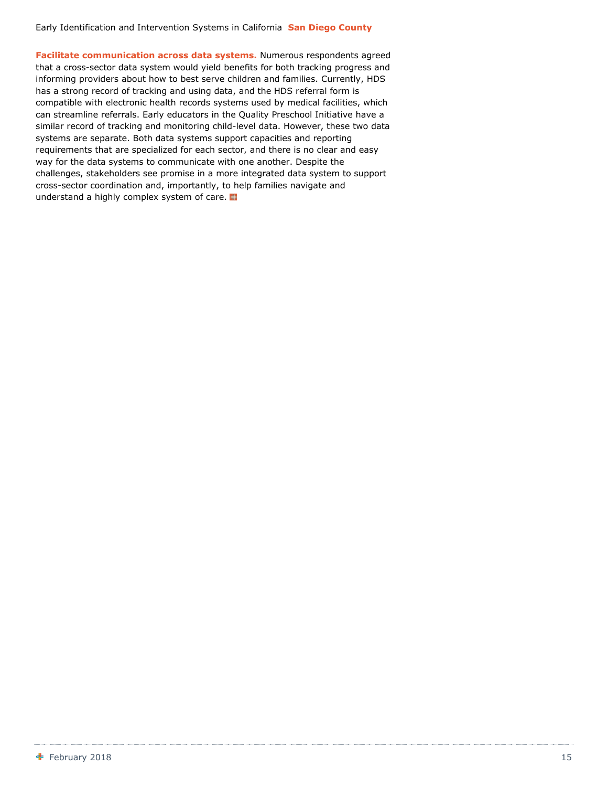**Facilitate communication across data systems.** Numerous respondents agreed that a cross-sector data system would yield benefits for both tracking progress and informing providers about how to best serve children and families. Currently, HDS has a strong record of tracking and using data, and the HDS referral form is compatible with electronic health records systems used by medical facilities, which can streamline referrals. Early educators in the Quality Preschool Initiative have a similar record of tracking and monitoring child-level data. However, these two data systems are separate. Both data systems support capacities and reporting requirements that are specialized for each sector, and there is no clear and easy way for the data systems to communicate with one another. Despite the challenges, stakeholders see promise in a more integrated data system to support cross-sector coordination and, importantly, to help families navigate and understand a highly complex system of care.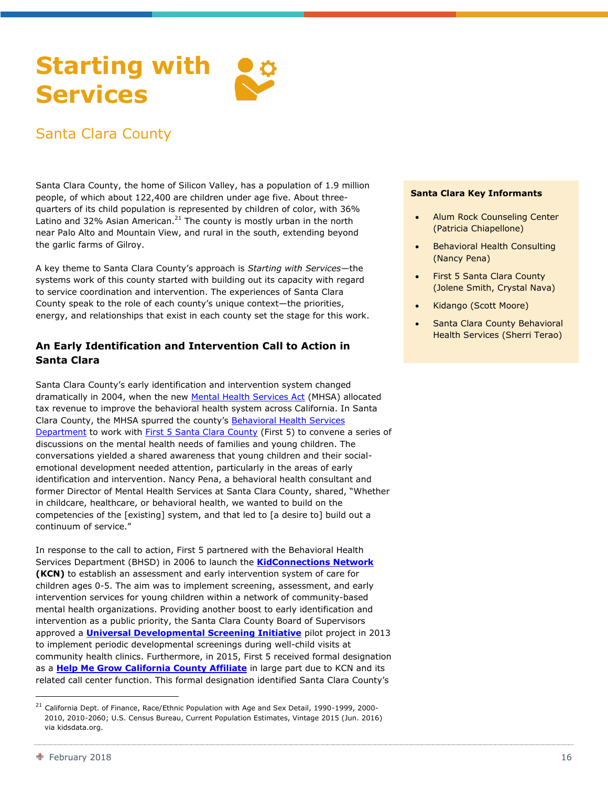### <span id="page-17-0"></span>**Starting with Services**

### Santa Clara County

Santa Clara County, the home of Silicon Valley, has a population of 1.9 million people, of which about 122,400 are children under age five. About threequarters of its child population is represented by children of color, with 36% Latino and 32% Asian American.<sup>21</sup> The county is mostly urban in the north near Palo Alto and Mountain View, and rural in the south, extending beyond the garlic farms of Gilroy.

A key theme to Santa Clara County's approach is *Starting with Services*—the systems work of this county started with building out its capacity with regard to service coordination and intervention. The experiences of Santa Clara County speak to the role of each county's unique context—the priorities, energy, and relationships that exist in each county set the stage for this work.

#### **An Early Identification and Intervention Call to Action in Santa Clara**

Santa Clara County's early identification and intervention system changed dramatically in 2004, when the new [Mental Health Services Act](http://www.dhcs.ca.gov/services/mh/Pages/MH_Prop63.aspx) (MHSA) allocated tax revenue to improve the behavioral health system across California. In Santa Clara County, the MHSA spurred the county's [Behavioral Health Services](https://www.sccgov.org/sites/bhd/Pages/home.aspx)  [Department](https://www.sccgov.org/sites/bhd/Pages/home.aspx) to work with [First 5 Santa Clara County](https://www.first5kids.org/) (First 5) to convene a series of discussions on the mental health needs of families and young children. The conversations yielded a shared awareness that young children and their socialemotional development needed attention, particularly in the areas of early identification and intervention. Nancy Pena, a behavioral health consultant and former Director of Mental Health Services at Santa Clara County, shared, "Whether in childcare, healthcare, or behavioral health, we wanted to build on the competencies of the [existing] system, and that led to [a desire to] build out a continuum of service."

In response to the call to action, First 5 partnered with the Behavioral Health Services Department (BHSD) in 2006 to launch the **[KidConnections Network](https://www.first5kids.org/health/behavioral-health) (KCN)** to establish an assessment and early intervention system of care for children ages 0-5. The aim was to implement screening, assessment, and early intervention services for young children within a network of community-based mental health organizations. Providing another boost to early identification and intervention as a public priority, the Santa Clara County Board of Supervisors approved a **[Universal Developmental Screening Initiative](https://communityoflearning.first5kids.org/podcast/universal-developmental-screening)** pilot project in 2013 to implement periodic developmental screenings during well-child visits at community health clinics. Furthermore, in 2015, First 5 received formal designation as a **[Help Me Grow California County Affiliate](http://helpmegrowca.org/index.php/help-me-grow-california/statewideexpansion/)** in large part due to KCN and its related call center function. This formal designation identified Santa Clara County's

#### **Santa Clara Key Informants**

- Alum Rock Counseling Center (Patricia Chiapellone)
- Behavioral Health Consulting (Nancy Pena)
- First 5 Santa Clara County (Jolene Smith, Crystal Nava)
- Kidango (Scott Moore)
- Santa Clara County Behavioral Health Services (Sherri Terao)

-

<sup>&</sup>lt;sup>21</sup> California Dept. of Finance, Race/Ethnic Population with Age and Sex Detail, 1990-1999, 2000-2010, 2010-2060; U.S. Census Bureau, Current Population Estimates, Vintage 2015 (Jun. 2016) via kidsdata.org.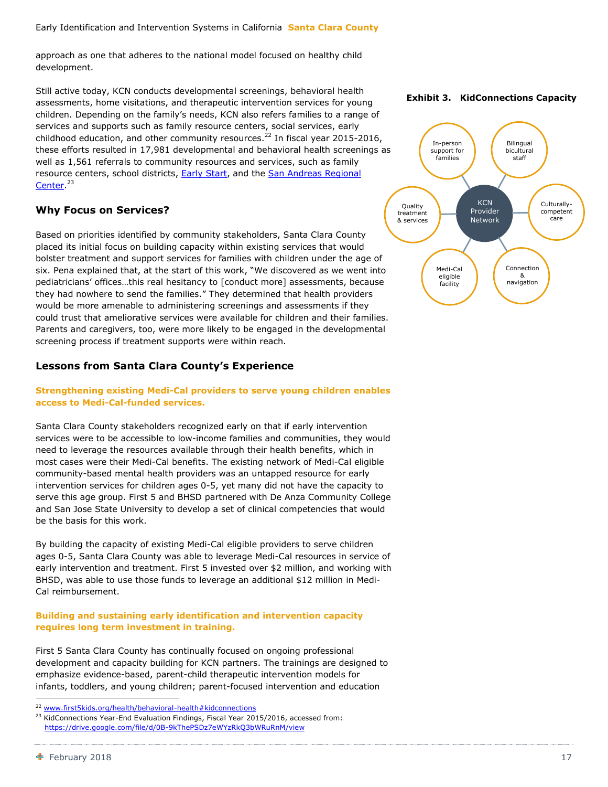approach as one that adheres to the national model focused on healthy child development.

Still active today, KCN conducts developmental screenings, behavioral health assessments, home visitations, and therapeutic intervention services for young children. Depending on the family's needs, KCN also refers families to a range of services and supports such as family resource centers, social services, early childhood education, and other community resources.<sup>22</sup> In fiscal year 2015-2016, these efforts resulted in 17,981 developmental and behavioral health screenings as well as 1,561 referrals to community resources and services, such as family resource centers, school districts, **Early Start**, and the **San Andreas Regional** [Center.](http://www.sanandreasregional.org/)<sup>23</sup>

#### **Why Focus on Services?**

Based on priorities identified by community stakeholders, Santa Clara County placed its initial focus on building capacity within existing services that would bolster treatment and support services for families with children under the age of six. Pena explained that, at the start of this work, "We discovered as we went into pediatricians' offices…this real hesitancy to [conduct more] assessments, because they had nowhere to send the families." They determined that health providers would be more amenable to administering screenings and assessments if they could trust that ameliorative services were available for children and their families. Parents and caregivers, too, were more likely to be engaged in the developmental screening process if treatment supports were within reach.

#### **Lessons from Santa Clara County's Experience**

**Strengthening existing Medi-Cal providers to serve young children enables access to Medi-Cal-funded services.**

Santa Clara County stakeholders recognized early on that if early intervention services were to be accessible to low-income families and communities, they would need to leverage the resources available through their health benefits, which in most cases were their Medi-Cal benefits. The existing network of Medi-Cal eligible community-based mental health providers was an untapped resource for early intervention services for children ages 0-5, yet many did not have the capacity to serve this age group. First 5 and BHSD partnered with De Anza Community College and San Jose State University to develop a set of clinical competencies that would be the basis for this work.

By building the capacity of existing Medi-Cal eligible providers to serve children ages 0-5, Santa Clara County was able to leverage Medi-Cal resources in service of early intervention and treatment. First 5 invested over \$2 million, and working with BHSD, was able to use those funds to leverage an additional \$12 million in Medi-Cal reimbursement.

#### **Building and sustaining early identification and intervention capacity requires long term investment in training.**

First 5 Santa Clara County has continually focused on ongoing professional development and capacity building for KCN partners. The trainings are designed to emphasize evidence-based, parent-child therapeutic intervention models for infants, toddlers, and young children; parent-focused intervention and education

**Exhibit 3. KidConnections Capacity**



<sup>&</sup>lt;sup>22</sup> [www.first5kids.org/health/behavioral-health#kidconnections](http://www.first5kids.org/health/behavioral-health#kidconnections)

<sup>&</sup>lt;sup>23</sup> KidConnections Year-End Evaluation Findings, Fiscal Year 2015/2016, accessed from: <https://drive.google.com/file/d/0B-9kThePSDz7eWYzRkQ3bWRuRnM/view>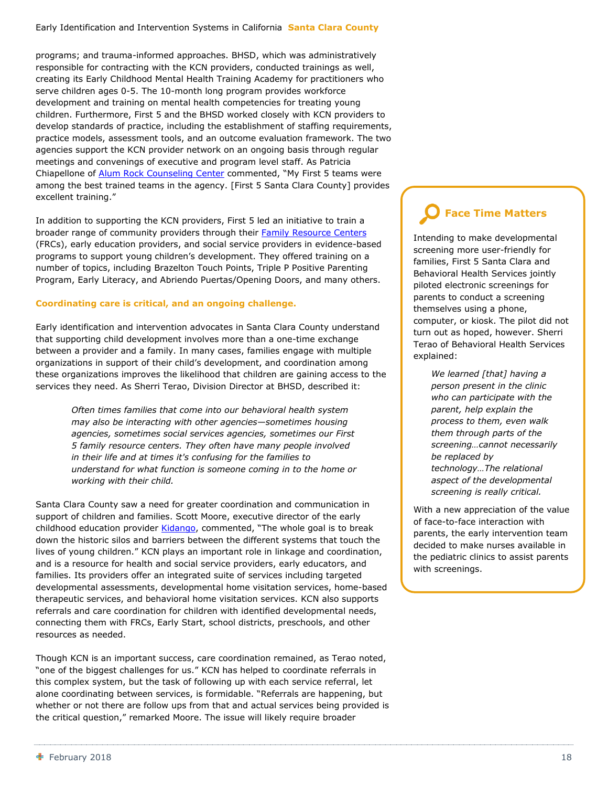programs; and trauma-informed approaches. BHSD, which was administratively responsible for contracting with the KCN providers, conducted trainings as well, creating its Early Childhood Mental Health Training Academy for practitioners who serve children ages 0-5. The 10-month long program provides workforce development and training on mental health competencies for treating young children. Furthermore, First 5 and the BHSD worked closely with KCN providers to develop standards of practice, including the establishment of staffing requirements, practice models, assessment tools, and an outcome evaluation framework. The two agencies support the KCN provider network on an ongoing basis through regular meetings and convenings of executive and program level staff. As Patricia Chiapellone of [Alum Rock Counseling Center](http://www.alumrockcc.org/) commented, "My First 5 teams were among the best trained teams in the agency. [First 5 Santa Clara County] provides excellent training."

In addition to supporting the KCN providers, First 5 led an initiative to train a broader range of community providers through their Family [Resource Centers](http://www.frcnca.org/) (FRCs), early education providers, and social service providers in evidence-based programs to support young children's development. They offered training on a number of topics, including Brazelton Touch Points, Triple P Positive Parenting Program, Early Literacy, and Abriendo Puertas/Opening Doors, and many others.

#### **Coordinating care is critical, and an ongoing challenge.**

Early identification and intervention advocates in Santa Clara County understand that supporting child development involves more than a one-time exchange between a provider and a family. In many cases, families engage with multiple organizations in support of their child's development, and coordination among these organizations improves the likelihood that children are gaining access to the services they need. As Sherri Terao, Division Director at BHSD, described it:

> *Often times families that come into our behavioral health system may also be interacting with other agencies—sometimes housing agencies, sometimes social services agencies, sometimes our First 5 family resource centers. They often have many people involved in their life and at times it's confusing for the families to understand for what function is someone coming in to the home or working with their child.*

Santa Clara County saw a need for greater coordination and communication in support of children and families. Scott Moore, executive director of the early childhood education provider [Kidango](https://www.kidango.org/), commented, "The whole goal is to break down the historic silos and barriers between the different systems that touch the lives of young children." KCN plays an important role in linkage and coordination, and is a resource for health and social service providers, early educators, and families. Its providers offer an integrated suite of services including targeted developmental assessments, developmental home visitation services, home-based therapeutic services, and behavioral home visitation services. KCN also supports referrals and care coordination for children with identified developmental needs, connecting them with FRCs, Early Start, school districts, preschools, and other resources as needed.

Though KCN is an important success, care coordination remained, as Terao noted, "one of the biggest challenges for us." KCN has helped to coordinate referrals in this complex system, but the task of following up with each service referral, let alone coordinating between services, is formidable. "Referrals are happening, but whether or not there are follow ups from that and actual services being provided is the critical question," remarked Moore. The issue will likely require broader

### **Face Time Matters**

Intending to make developmental screening more user-friendly for families, First 5 Santa Clara and Behavioral Health Services jointly piloted electronic screenings for parents to conduct a screening themselves using a phone, computer, or kiosk. The pilot did not turn out as hoped, however. Sherri Terao of Behavioral Health Services explained:

> *We learned [that] having a person present in the clinic who can participate with the parent, help explain the process to them, even walk them through parts of the screening…cannot necessarily be replaced by technology…The relational aspect of the developmental screening is really critical.*

With a new appreciation of the value of face-to-face interaction with parents, the early intervention team decided to make nurses available in the pediatric clinics to assist parents with screenings.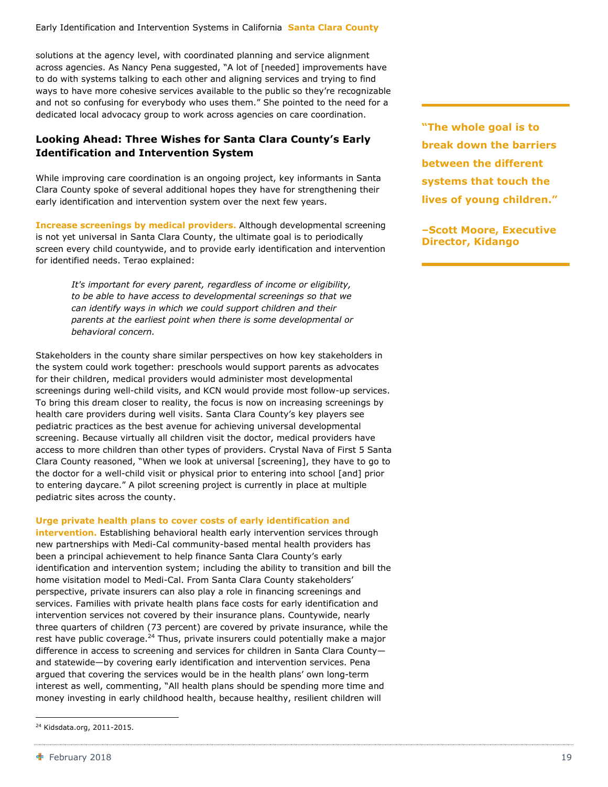solutions at the agency level, with coordinated planning and service alignment across agencies. As Nancy Pena suggested, "A lot of [needed] improvements have to do with systems talking to each other and aligning services and trying to find ways to have more cohesive services available to the public so they're recognizable and not so confusing for everybody who uses them." She pointed to the need for a dedicated local advocacy group to work across agencies on care coordination.

#### **Looking Ahead: Three Wishes for Santa Clara County's Early Identification and Intervention System**

While improving care coordination is an ongoing project, key informants in Santa Clara County spoke of several additional hopes they have for strengthening their early identification and intervention system over the next few years.

**Increase screenings by medical providers.** Although developmental screening is not yet universal in Santa Clara County, the ultimate goal is to periodically screen every child countywide, and to provide early identification and intervention for identified needs. Terao explained:

> *It's important for every parent, regardless of income or eligibility, to be able to have access to developmental screenings so that we can identify ways in which we could support children and their parents at the earliest point when there is some developmental or behavioral concern.*

Stakeholders in the county share similar perspectives on how key stakeholders in the system could work together: preschools would support parents as advocates for their children, medical providers would administer most developmental screenings during well-child visits, and KCN would provide most follow-up services. To bring this dream closer to reality, the focus is now on increasing screenings by health care providers during well visits. Santa Clara County's key players see pediatric practices as the best avenue for achieving universal developmental screening. Because virtually all children visit the doctor, medical providers have access to more children than other types of providers. Crystal Nava of First 5 Santa Clara County reasoned, "When we look at universal [screening], they have to go to the doctor for a well-child visit or physical prior to entering into school [and] prior to entering daycare." A pilot screening project is currently in place at multiple pediatric sites across the county.

#### **Urge private health plans to cover costs of early identification and**

**intervention.** Establishing behavioral health early intervention services through new partnerships with Medi-Cal community-based mental health providers has been a principal achievement to help finance Santa Clara County's early identification and intervention system; including the ability to transition and bill the home visitation model to Medi-Cal. From Santa Clara County stakeholders' perspective, private insurers can also play a role in financing screenings and services. Families with private health plans face costs for early identification and intervention services not covered by their insurance plans. Countywide, nearly three quarters of children (73 percent) are covered by private insurance, while the rest have public coverage.<sup>24</sup> Thus, private insurers could potentially make a major difference in access to screening and services for children in Santa Clara County and statewide—by covering early identification and intervention services. Pena argued that covering the services would be in the health plans' own long-term interest as well, commenting, "All health plans should be spending more time and money investing in early childhood health, because healthy, resilient children will

**"The whole goal is to break down the barriers between the different systems that touch the lives of young children."**

**–Scott Moore, Executive Director, Kidango**

<sup>&</sup>lt;sup>24</sup> Kidsdata.org, 2011-2015.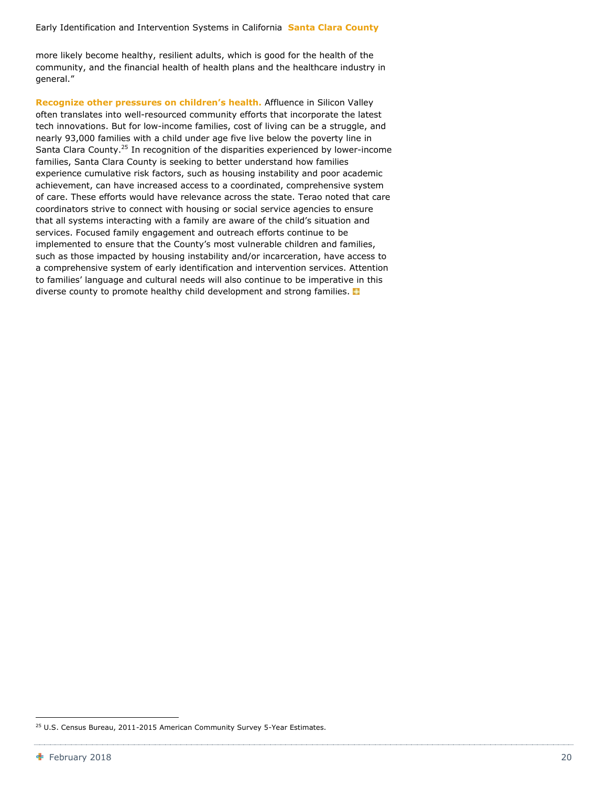more likely become healthy, resilient adults, which is good for the health of the community, and the financial health of health plans and the healthcare industry in general."

**Recognize other pressures on children's health.** Affluence in Silicon Valley often translates into well-resourced community efforts that incorporate the latest tech innovations. But for low-income families, cost of living can be a struggle, and nearly 93,000 families with a child under age five live below the poverty line in Santa Clara County.<sup>25</sup> In recognition of the disparities experienced by lower-income families, Santa Clara County is seeking to better understand how families experience cumulative risk factors, such as housing instability and poor academic achievement, can have increased access to a coordinated, comprehensive system of care. These efforts would have relevance across the state. Terao noted that care coordinators strive to connect with housing or social service agencies to ensure that all systems interacting with a family are aware of the child's situation and services. Focused family engagement and outreach efforts continue to be implemented to ensure that the County's most vulnerable children and families, such as those impacted by housing instability and/or incarceration, have access to a comprehensive system of early identification and intervention services. Attention to families' language and cultural needs will also continue to be imperative in this diverse county to promote healthy child development and strong families.

<sup>&</sup>lt;sup>25</sup> U.S. Census Bureau, 2011-2015 American Community Survey 5-Year Estimates.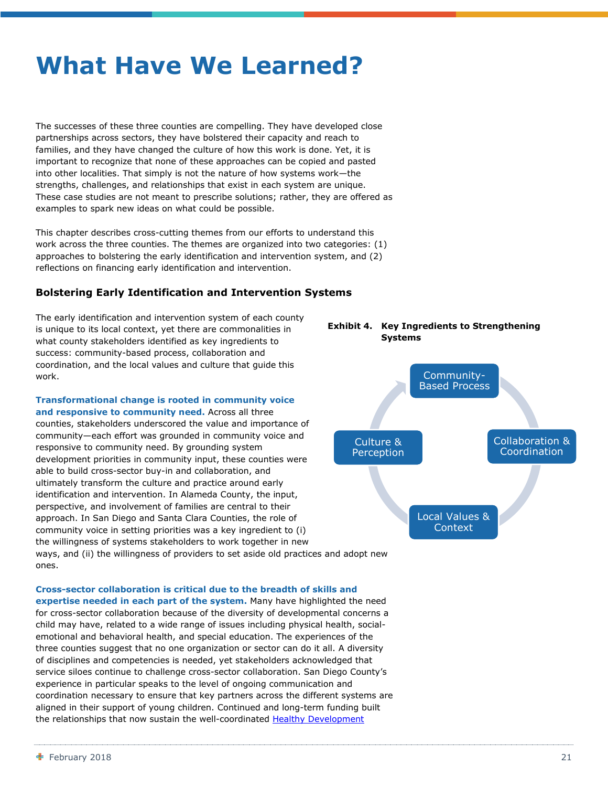## <span id="page-22-0"></span>**What Have We Learned?**

The successes of these three counties are compelling. They have developed close partnerships across sectors, they have bolstered their capacity and reach to families, and they have changed the culture of how this work is done. Yet, it is important to recognize that none of these approaches can be copied and pasted into other localities. That simply is not the nature of how systems work—the strengths, challenges, and relationships that exist in each system are unique. These case studies are not meant to prescribe solutions; rather, they are offered as examples to spark new ideas on what could be possible.

This chapter describes cross-cutting themes from our efforts to understand this work across the three counties. The themes are organized into two categories: (1) approaches to bolstering the early identification and intervention system, and (2) reflections on financing early identification and intervention.

#### **Bolstering Early Identification and Intervention Systems**

The early identification and intervention system of each county is unique to its local context, yet there are commonalities in what county stakeholders identified as key ingredients to success: community-based process, collaboration and coordination, and the local values and culture that guide this work.

**Transformational change is rooted in community voice and responsive to community need.** Across all three counties, stakeholders underscored the value and importance of community—each effort was grounded in community voice and responsive to community need. By grounding system development priorities in community input, these counties were able to build cross-sector buy-in and collaboration, and ultimately transform the culture and practice around early identification and intervention. In Alameda County, the input, perspective, and involvement of families are central to their approach. In San Diego and Santa Clara Counties, the role of community voice in setting priorities was a key ingredient to (i) the willingness of systems stakeholders to work together in new ways, and (ii) the willingness of providers to set aside old practices and adopt new



ones.

**Cross-sector collaboration is critical due to the breadth of skills and expertise needed in each part of the system.** Many have highlighted the need for cross-sector collaboration because of the diversity of developmental concerns a child may have, related to a wide range of issues including physical health, socialemotional and behavioral health, and special education. The experiences of the three counties suggest that no one organization or sector can do it all. A diversity of disciplines and competencies is needed, yet stakeholders acknowledged that service siloes continue to challenge cross-sector collaboration. San Diego County's experience in particular speaks to the level of ongoing communication and coordination necessary to ensure that key partners across the different systems are aligned in their support of young children. Continued and long-term funding built the relationships that now sustain the well-coordinated [Healthy Development](http://first5sandiego.org/healthy-development-services/)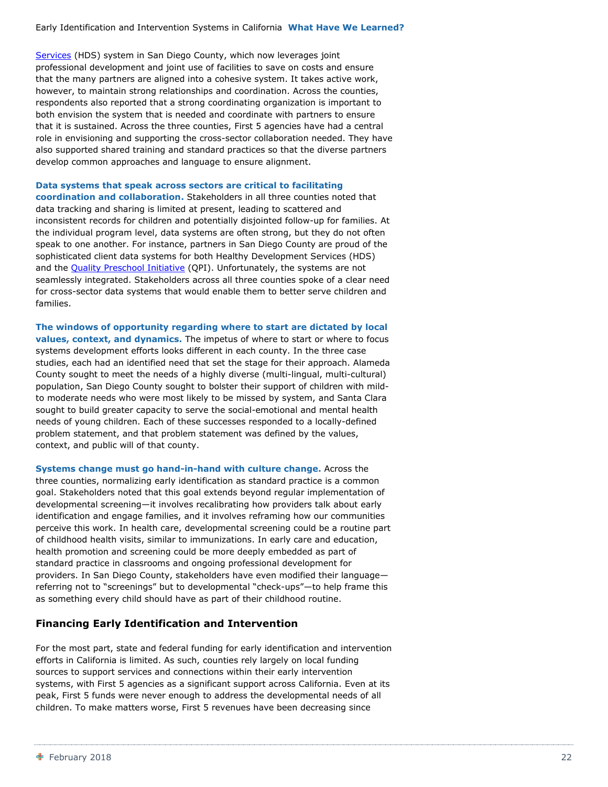[Services](http://first5sandiego.org/healthy-development-services/) (HDS) system in San Diego County, which now leverages joint professional development and joint use of facilities to save on costs and ensure that the many partners are aligned into a cohesive system. It takes active work, however, to maintain strong relationships and coordination. Across the counties, respondents also reported that a strong coordinating organization is important to both envision the system that is needed and coordinate with partners to ensure that it is sustained. Across the three counties, First 5 agencies have had a central role in envisioning and supporting the cross-sector collaboration needed. They have also supported shared training and standard practices so that the diverse partners develop common approaches and language to ensure alignment.

#### **Data systems that speak across sectors are critical to facilitating**

**coordination and collaboration.** Stakeholders in all three counties noted that data tracking and sharing is limited at present, leading to scattered and inconsistent records for children and potentially disjointed follow-up for families. At the individual program level, data systems are often strong, but they do not often speak to one another. For instance, partners in San Diego County are proud of the sophisticated client data systems for both Healthy Development Services (HDS) and the [Quality Preschool Initiative](http://www.sdcoe.net/student-services/early-education/Pages/san-diego-quality-preschool-initiative.aspx) (QPI). Unfortunately, the systems are not seamlessly integrated. Stakeholders across all three counties spoke of a clear need for cross-sector data systems that would enable them to better serve children and families.

**The windows of opportunity regarding where to start are dictated by local values, context, and dynamics.** The impetus of where to start or where to focus systems development efforts looks different in each county. In the three case studies, each had an identified need that set the stage for their approach. Alameda County sought to meet the needs of a highly diverse (multi-lingual, multi-cultural) population, San Diego County sought to bolster their support of children with mildto moderate needs who were most likely to be missed by system, and Santa Clara sought to build greater capacity to serve the social-emotional and mental health needs of young children. Each of these successes responded to a locally-defined problem statement, and that problem statement was defined by the values, context, and public will of that county.

**Systems change must go hand-in-hand with culture change.** Across the three counties, normalizing early identification as standard practice is a common goal. Stakeholders noted that this goal extends beyond regular implementation of developmental screening—it involves recalibrating how providers talk about early identification and engage families, and it involves reframing how our communities perceive this work. In health care, developmental screening could be a routine part of childhood health visits, similar to immunizations. In early care and education, health promotion and screening could be more deeply embedded as part of standard practice in classrooms and ongoing professional development for providers. In San Diego County, stakeholders have even modified their language referring not to "screenings" but to developmental "check-ups"—to help frame this as something every child should have as part of their childhood routine.

#### **Financing Early Identification and Intervention**

For the most part, state and federal funding for early identification and intervention efforts in California is limited. As such, counties rely largely on local funding sources to support services and connections within their early intervention systems, with First 5 agencies as a significant support across California. Even at its peak, First 5 funds were never enough to address the developmental needs of all children. To make matters worse, First 5 revenues have been decreasing since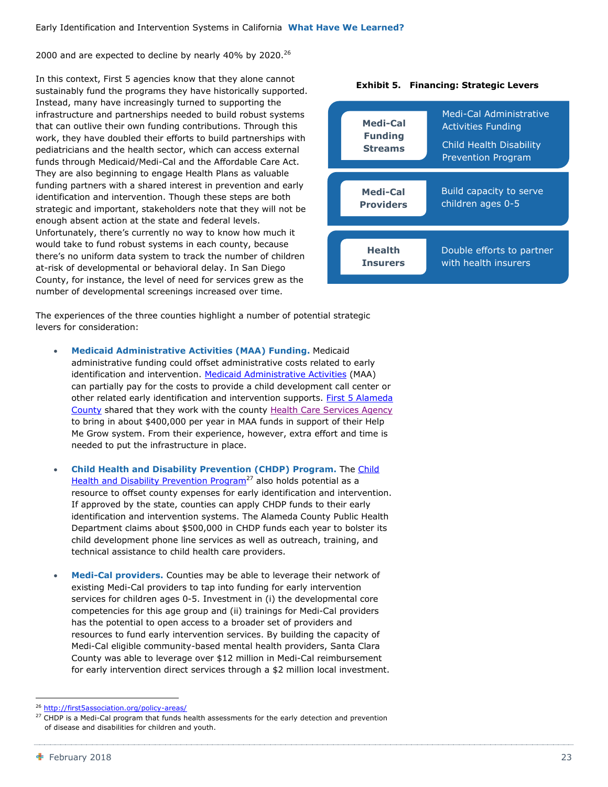2000 and are expected to decline by nearly 40% by 2020.<sup>26</sup>

In this context, First 5 agencies know that they alone cannot sustainably fund the programs they have historically supported. Instead, many have increasingly turned to supporting the infrastructure and partnerships needed to build robust systems that can outlive their own funding contributions. Through this work, they have doubled their efforts to build partnerships with pediatricians and the health sector, which can access external funds through Medicaid/Medi-Cal and the Affordable Care Act. They are also beginning to engage Health Plans as valuable funding partners with a shared interest in prevention and early identification and intervention. Though these steps are both strategic and important, stakeholders note that they will not be enough absent action at the state and federal levels. Unfortunately, there's currently no way to know how much it would take to fund robust systems in each county, because there's no uniform data system to track the number of children at-risk of developmental or behavioral delay. In San Diego County, for instance, the level of need for services grew as the number of developmental screenings increased over time.



The experiences of the three counties highlight a number of potential strategic levers for consideration:

- **Medicaid Administrative Activities (MAA) Funding.** Medicaid administrative funding could offset administrative costs related to early identification and intervention. [Medicaid Administrative Activities](http://www.dhcs.ca.gov/provgovpart/Pages/CMAA.aspx) (MAA) can partially pay for the costs to provide a child development call center or other related early identification and intervention supports. First 5 Alameda [County](http://www.first5alameda.org/) shared that they work with the county [Health Care Services Agency](http://www.acgov.org/health/) to bring in about \$400,000 per year in MAA funds in support of their Help Me Grow system. From their experience, however, extra effort and time is needed to put the infrastructure in place.
- **Child Health and Disability Prevention (CHDP) Program.** The [Child](http://www.dhcs.ca.gov/services/chdp/Pages/default.aspx)  [Health and Disability](http://www.dhcs.ca.gov/services/chdp/Pages/default.aspx) Prevention Program<sup>27</sup> also holds potential as a resource to offset county expenses for early identification and intervention. If approved by the state, counties can apply CHDP funds to their early identification and intervention systems. The Alameda County Public Health Department claims about \$500,000 in CHDP funds each year to bolster its child development phone line services as well as outreach, training, and technical assistance to child health care providers.
- **Medi-Cal providers.** Counties may be able to leverage their network of existing Medi-Cal providers to tap into funding for early intervention services for children ages 0-5. Investment in (i) the developmental core competencies for this age group and (ii) trainings for Medi-Cal providers has the potential to open access to a broader set of providers and resources to fund early intervention services. By building the capacity of Medi-Cal eligible community-based mental health providers, Santa Clara County was able to leverage over \$12 million in Medi-Cal reimbursement for early intervention direct services through a \$2 million local investment.

<sup>&</sup>lt;sup>26</sup> <http://first5association.org/policy-areas/>

<sup>&</sup>lt;sup>27</sup> CHDP is a Medi-Cal program that funds health assessments for the early detection and prevention of disease and disabilities for children and youth.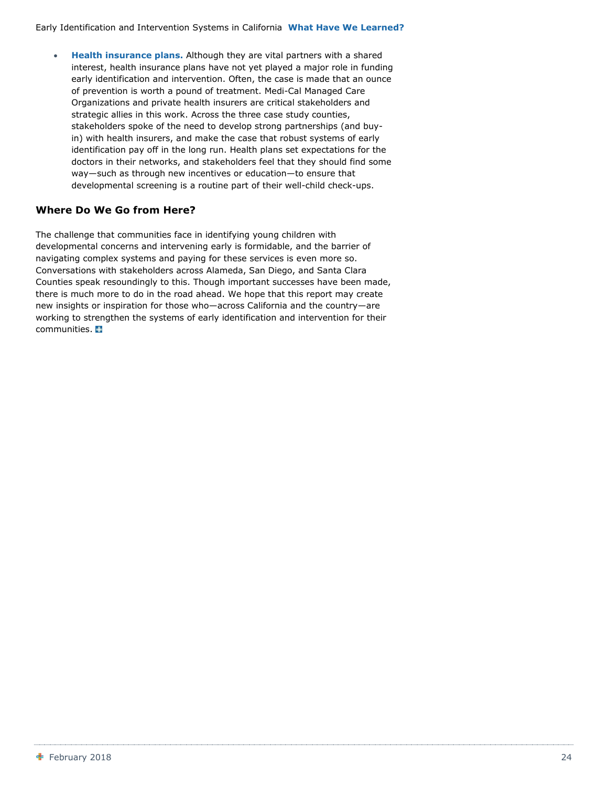**Health insurance plans.** Although they are vital partners with a shared interest, health insurance plans have not yet played a major role in funding early identification and intervention. Often, the case is made that an ounce of prevention is worth a pound of treatment. Medi-Cal Managed Care Organizations and private health insurers are critical stakeholders and strategic allies in this work. Across the three case study counties, stakeholders spoke of the need to develop strong partnerships (and buyin) with health insurers, and make the case that robust systems of early identification pay off in the long run. Health plans set expectations for the doctors in their networks, and stakeholders feel that they should find some way—such as through new incentives or education—to ensure that developmental screening is a routine part of their well-child check-ups.

#### **Where Do We Go from Here?**

The challenge that communities face in identifying young children with developmental concerns and intervening early is formidable, and the barrier of navigating complex systems and paying for these services is even more so. Conversations with stakeholders across Alameda, San Diego, and Santa Clara Counties speak resoundingly to this. Though important successes have been made, there is much more to do in the road ahead. We hope that this report may create new insights or inspiration for those who—across California and the country—are working to strengthen the systems of early identification and intervention for their communities. **H**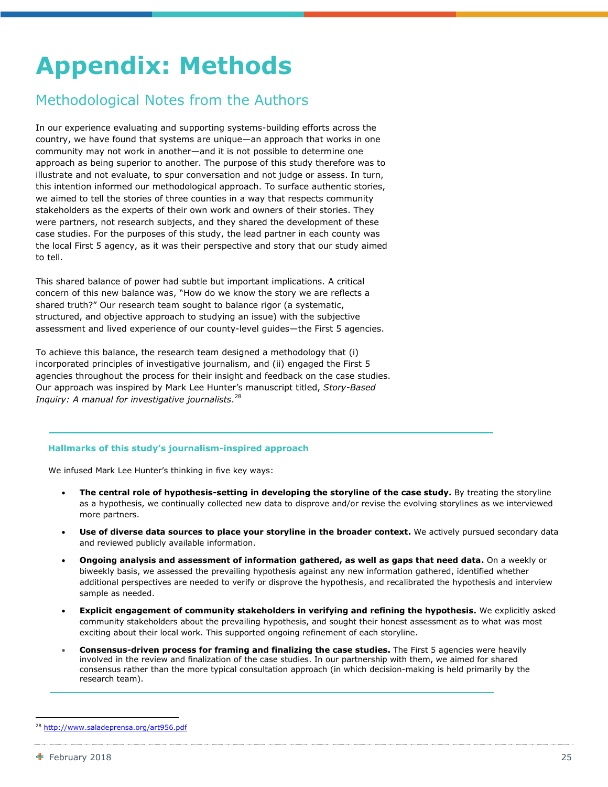## <span id="page-26-0"></span>**Appendix: Methods**

### Methodological Notes from the Authors

In our experience evaluating and supporting systems-building efforts across the country, we have found that systems are unique—an approach that works in one community may not work in another—and it is not possible to determine one approach as being superior to another. The purpose of this study therefore was to illustrate and not evaluate, to spur conversation and not judge or assess. In turn, this intention informed our methodological approach. To surface authentic stories, we aimed to tell the stories of three counties in a way that respects community stakeholders as the experts of their own work and owners of their stories. They were partners, not research subjects, and they shared the development of these case studies. For the purposes of this study, the lead partner in each county was the local First 5 agency, as it was their perspective and story that our study aimed to tell.

This shared balance of power had subtle but important implications. A critical concern of this new balance was, "How do we know the story we are reflects a shared truth?" Our research team sought to balance rigor (a systematic, structured, and objective approach to studying an issue) with the subjective assessment and lived experience of our county-level guides—the First 5 agencies.

To achieve this balance, the research team designed a methodology that (i) incorporated principles of investigative journalism, and (ii) engaged the First 5 agencies throughout the process for their insight and feedback on the case studies. Our approach was inspired by Mark Lee Hunter's manuscript titled, *Story-Based Inquiry: A manual for investigative journalists*. 28

#### **Hallmarks of this study's journalism-inspired approach**

We infused Mark Lee Hunter's thinking in five key ways:

- The central role of hypothesis-setting in developing the storyline of the case study. By treating the storyline as a hypothesis, we continually collected new data to disprove and/or revise the evolving storylines as we interviewed more partners.
- **Use of diverse data sources to place your storyline in the broader context.** We actively pursued secondary data and reviewed publicly available information.
- **Ongoing analysis and assessment of information gathered, as well as gaps that need data.** On a weekly or biweekly basis, we assessed the prevailing hypothesis against any new information gathered, identified whether additional perspectives are needed to verify or disprove the hypothesis, and recalibrated the hypothesis and interview sample as needed.
- **Explicit engagement of community stakeholders in verifying and refining the hypothesis.** We explicitly asked community stakeholders about the prevailing hypothesis, and sought their honest assessment as to what was most exciting about their local work. This supported ongoing refinement of each storyline.
- **Consensus-driven process for framing and finalizing the case studies.** The First 5 agencies were heavily involved in the review and finalization of the case studies. In our partnership with them, we aimed for shared consensus rather than the more typical consultation approach (in which decision-making is held primarily by the research team).

<http://www.saladeprensa.org/art956.pdf>